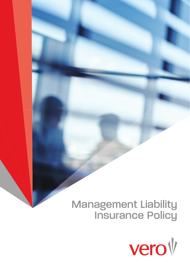# Management Liability Insurance Policy

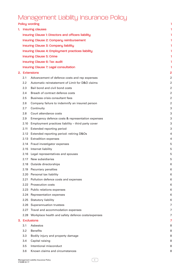# Management Liability Insurance Policy

| <b>Policy wording</b> |                                                         |   |  |  |  |
|-----------------------|---------------------------------------------------------|---|--|--|--|
|                       | 1. Insuring clauses                                     |   |  |  |  |
|                       | Insuring Clause 1: Directors and officers liability     |   |  |  |  |
|                       | Insuring Clause 2: Company reimbursement                |   |  |  |  |
|                       | Insuring Clause 3: Company liability                    |   |  |  |  |
|                       | Insuring Clause 4: Employment practices liability       | 1 |  |  |  |
|                       | <b>Insuring Clause 5: Crime</b>                         |   |  |  |  |
|                       | Insuring Clause 6: Tax audit                            |   |  |  |  |
|                       | Insuring Clause 7: Legal consultation                   |   |  |  |  |
|                       | 2. Extensions                                           |   |  |  |  |
| 2.1                   | Advancement of defence costs and rep expenses           | 2 |  |  |  |
| 2.2                   | Automatic reinstatement of Limit for D&O claims         | 2 |  |  |  |
| 2.3                   | Bail bond and civil bond costs                          | 2 |  |  |  |
| 2.4                   | Breach of contract defence costs                        | 2 |  |  |  |
| 2.5                   | Business crisis consultant fees                         | 2 |  |  |  |
| 2.6                   | Company failure to indemnify an insured person          | 2 |  |  |  |
| 2.7                   | Continuity                                              | 3 |  |  |  |
| 2.8                   | Court attendance costs                                  | 3 |  |  |  |
| 2.9                   | Emergency defence costs & representation expenses       | 3 |  |  |  |
| 2.10                  | Employment practices liability - third party cover      | 3 |  |  |  |
| 2.11                  | Extended reporting period                               | 3 |  |  |  |
|                       | 2.12 Extended reporting period: retiring D&Os           | 4 |  |  |  |
|                       | 2.13 Extradition expenses                               | 4 |  |  |  |
|                       | 2.14 Fraud investigator expenses                        | 5 |  |  |  |
|                       | 2.15 Internet liability                                 | 5 |  |  |  |
|                       | 2.16 Legal representatives and spouses                  | 5 |  |  |  |
|                       | 2.17 New subsidiaries                                   | 5 |  |  |  |
|                       | 2.18 Outside directorships                              |   |  |  |  |
| 2.19                  | Pecuniary penalties                                     | 6 |  |  |  |
|                       | 2.20 Personal tax liability                             | 6 |  |  |  |
| 2.21                  | Pollution defence costs and expenses                    | 6 |  |  |  |
|                       | 2.22 Prosecution costs                                  | 6 |  |  |  |
|                       | 2.23 Public relations expenses                          | 6 |  |  |  |
| 2.24                  | Representation expenses                                 | 6 |  |  |  |
|                       | 2.25 Statutory liability                                | 6 |  |  |  |
|                       | 2.26 Superannuation trustees                            | 7 |  |  |  |
| 2.27                  | Travel and accommodation expenses                       | 7 |  |  |  |
|                       | 2.28 Workplace health and safety defence costs/expenses | 7 |  |  |  |
| 3. Exclusions         |                                                         |   |  |  |  |
| 3.1                   | Asbestos                                                | 8 |  |  |  |
| 3.2                   | <b>Benefits</b>                                         | 8 |  |  |  |
| 3.3                   | Bodily injury and property damage                       | 8 |  |  |  |
| 3.4                   | Capital raising<br>Intentional misconduct               | 8 |  |  |  |
| 3.5                   |                                                         | 8 |  |  |  |
| 3.6                   | Known claims and circumstances                          | 8 |  |  |  |

 $\begin{array}{|c|} \hline \textbf{1} & \textbf{1} \\ \hline \textbf{2} & \textbf{1} \\ \hline \textbf{3} & \textbf{1} \\ \hline \textbf{4} & \textbf{1} \\ \hline \textbf{5} & \textbf{1} \\ \hline \textbf{6} & \textbf{1} \\ \hline \textbf{7} & \textbf{1} \\ \hline \textbf{8} & \textbf{1} \\ \hline \textbf{9} & \textbf{1} \\ \hline \textbf{10} & \textbf{1} \\ \hline \textbf{11} & \textbf{1} \\ \hline \textbf{12} & \textbf{1} \\ \hline \$ i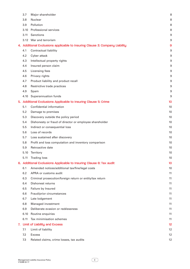|    | 3.7  | Major shareholder                                                           | 8  |
|----|------|-----------------------------------------------------------------------------|----|
|    | 3.8  | Nuclear                                                                     | 8  |
|    | 3.9  | Pollution                                                                   | 8  |
|    | 3.10 | Professional services                                                       | 8  |
|    | 3.11 | Sanctions                                                                   | 9  |
|    |      | 3.12 War and terrorism                                                      | 9  |
|    |      | 4. Additional Exclusions applicable to Insuring Clause 3: Company Liability | 9  |
|    | 4.1  | Contractual liability                                                       | 9  |
|    | 4.2  | Cyber attack                                                                | 9  |
|    | 4.3  | Intellectual property rights                                                | 9  |
|    | 4.4  | Insured person claim                                                        | 9  |
|    | 4.5  | Licensing fees                                                              | 9  |
|    | 4.6  | Privacy rights                                                              | 9  |
|    | 4.7  | Product liability and product recall                                        | 9  |
|    | 4.8  | Restrictive trade practices                                                 | 9  |
|    | 4.9  | Spam                                                                        | 9  |
|    | 4.10 | Superannuation funds                                                        | 9  |
|    |      | 5. Additional Exclusions Applicable to Insuring Clause 5: Crime             | 10 |
|    | 5.1  | Confidential information                                                    | 10 |
|    | 5.2  | Damage to premises                                                          | 10 |
|    | 5.3  | Discovery outside the policy period                                         | 10 |
|    | 5.4  | Dishonesty or fraud of director or employee shareholder                     | 10 |
|    | 5.5  | Indirect or consequential loss                                              | 10 |
|    | 5.6  | Loss of records                                                             | 10 |
|    | 5.7  | Loss sustained after discovery                                              | 10 |
|    | 5.8  | Profit and loss computation and inventory comparison                        | 10 |
|    | 5.9  | Retroactive date                                                            | 10 |
|    | 5.10 | Territory                                                                   | 10 |
|    | 5.11 | <b>Trading loss</b>                                                         | 10 |
|    |      | 6. Additional Exclusions Applicable to Insuring Clause 6: Tax audit         | 10 |
|    | 6.1  | Amended notices/additional tax/fine/legal costs                             | 10 |
|    | 6.2  | APRA or customs audit                                                       | 11 |
|    | 6.3  | Criminal prosecution/foreign return or entity/tax return                    | 11 |
|    | 6.4  | Dishonest returns                                                           | 11 |
|    | 6.5  | Failure by Insured                                                          | 11 |
|    | 6.6  | Fraud/prior circumstances                                                   | 11 |
|    | 6.7  | Late lodgement                                                              | 11 |
|    | 6.8  | Managed investment                                                          | 11 |
|    | 6.9  | Deliberate evasion or recklessness                                          | 11 |
|    | 6.10 | Routine enquiries                                                           | 11 |
|    | 6.11 | Tax minimisation schemes                                                    | 11 |
| 7. |      | <b>Limit of Liability and Excess</b>                                        | 12 |
|    | 7.1  | Limit of liability                                                          | 12 |
|    | 7.2  | <b>Excess</b>                                                               | 12 |
|    | 7.3  | Related claims, crime losses, tax audits                                    | 12 |

ii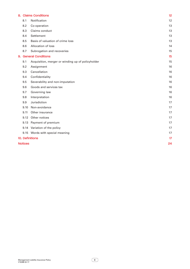|                 |      | 8. Claims Conditions                              | 12 |
|-----------------|------|---------------------------------------------------|----|
|                 | 8.1  | Notification                                      | 12 |
|                 | 8.2  | Co-operation                                      | 13 |
|                 | 8.3  | Claims conduct                                    | 13 |
|                 | 8.4  | Settlement                                        | 13 |
|                 | 8.5  | Basis of valuation of crime loss                  | 13 |
|                 | 8.6  | Allocation of loss                                | 14 |
|                 | 8.7  | Subrogation and recoveries                        | 15 |
|                 |      | 9. General Conditions                             | 15 |
|                 | 9.1  | Acquisition, merger or winding up of policyholder | 15 |
|                 | 9.2  | Assignment                                        | 16 |
|                 | 9.3  | Cancellation                                      | 16 |
|                 | 9.4  | Confidentiality                                   | 16 |
|                 | 9.5  | Severability and non-imputation                   | 16 |
|                 | 9.6  | Goods and services tax                            | 16 |
|                 | 9.7  | Governing law                                     | 16 |
|                 | 9.8  | Interpretation                                    | 16 |
|                 | 9.9  | Jurisdiction                                      | 17 |
|                 | 9.10 | Non-avoidance                                     | 17 |
|                 | 9.11 | Other insurance                                   | 17 |
|                 | 9.12 | Other notices                                     | 17 |
|                 | 9.13 | Payment of premium                                | 17 |
|                 | 9.14 | Variation of the policy                           | 17 |
|                 |      | 9.15 Words with special meaning                   | 17 |
| 10. Definitions |      |                                                   |    |
| <b>Notices</b>  |      |                                                   | 24 |

 $\boxed{ii}$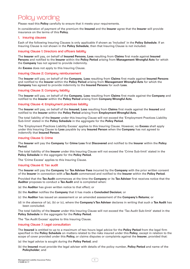# Policy wording

Please read this **Policy** carefully to ensure that it meets your requirements.

In consideration of payment of the premium the **Insured** and the **Insurer** agree that the **Insurer** will provide insurance on the terms of this **Policy**.

# 1. Insuring clauses

Each of the following Insuring Clauses is only applicable if shown as 'Included' in the **Policy Schedule**. If an Insuring Clause is not shown in the **Policy Schedule**, then that Insuring Clause is not included.

# Insuring Clause 1: Directors and officers liability

The **Insurer** will pay, on behalf of **Insured Persons**, **Loss** resulting from **Claims** first made against **Insured Persons** and notified to the **Insurer** within the **Policy Period** arising from **Management Wrongful Acts** for which the **Company** has not agreed to provide indemnity.

An **Excess** does not apply to this Insuring Clause.

# Insuring Clause 2: Company reimbursement

The **Insurer** will pay, on behalf of the **Company**, **Loss** resulting from **Claims** first made against **Insured Persons**  and notified to the **Insurer** within the **Policy Period** arising from **Management Wrongful Acts** for which the **Company** has agreed to provide indemnity to the **Insured Persons** for such **Loss**.

# Insuring Clause 3: Company liability

The **Insurer** will pay, on behalf of the **Company**, **Loss** resulting from **Claims** first made against the **Company** and notified to the **Insurer** within the **Policy Period** arising from **Company Wrongful Acts**.

# Insuring Clause 4: Employment practices liability

The **Insurer** will pay, on behalf of the **Insured**, **Loss** resulting from **Claims** first made against the **Insured** and notified to the **Insurer** within the **Policy Period** arising from **Employment Wrongful Acts**.

The total liability of the **Insurer** under this Insuring Clause will not exceed the 'Employment Practices Liability Sub-limit' stated in the **Policy Schedule** in the aggregate for the **Policy Period.**

The 'Employment Practices Liability Excess' applies to this Insuring Clause. However, no **Excess** shall apply under this Insuring Clause to **Loss** payable by any **Insured Person** when the **Company** has not agreed to indemnify that **Insured Person**.

# Insuring Clause 5: Crime

The **Insurer** will pay the **Company** for **Crime Loss** first **Discovered** and notified to the **Insurer** within the **Policy Period**.

The total liability of the **Insurer** under this Insuring Clause will not exceed the 'Crime Sub-limit' stated in the **Policy Schedule** in the aggregate for the **Policy Period.**

The 'Crime Excess' applies to this Insuring Clause.

# Insuring Clause 6: Tax audit

The **Insurer** will pay the **Company** for **Tax Adviser Fees** incurred by the **Company** with the prior written consent of the **Insurer** in connection with a **Tax Audit** commenced and notified to the **Insurer** within the **Policy Period**.

Provided that the **Tax Audit** commences at the time the **Company** or its **Tax Adviser** first receives notice that the **Auditor** proposes to conduct a **Tax Audit** and is completed when:

- (a) the **Auditor** has given written notice to that effect; or
- (b) the **Auditor** notifies the **Company** that it has made a **Concluded Decision**; or
- (c) the **Auditor** has issued an assessment or an amended assessment of the **Company's Returns**; or
- (d) in the absence of (a), (b) or (c), where the **Company's Tax Adviser** declares in writing that such a **Tax Audit** has been concluded.

The total liability of the **Insurer** under this Insuring Clause will not exceed the 'Tax Audit Sub-limit' stated in the **Policy Schedule** in the aggregate for the **Policy Period**.

The 'Tax Audit Excess' applies to this Insuring Clause.

# Insuring Clause 7: Legal consultation

The **Insured** is entitled to up to a maximum of two hours legal advice for the **Policy Period** from the legal firm specified in the **Policy Schedule** on matters related to the risks insured under this **Policy**, except in relation to the scope of cover provided under this **Policy,** or claims disputes or complaints against the **Insurer**, provided that:

- (a) the legal advice is sought during the **Policy Period**; and
- (b) the **Insured** must provide the legal adviser with details of the policy number, **Policy Period** and name of the **Policyholder**; and

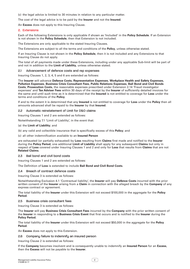(c) the legal advice is limited to 30 minutes in relation to any particular matter.

The cost of the legal advice is to be paid by the **Insurer** and not the **Insured**.

An **Excess** does not apply to this Insuring Clause.

# 2. Extensions

Each of the following Extensions is only applicable if shown as 'Included' in the **Policy Schedule**. If an Extension is not shown in the **Policy Schedule**, then that Extension is not included.

The Extensions are only applicable to the stated Insuring Clauses.

The Extensions are subject to all the terms and conditions of the **Policy**, unless otherwise stated.

If an Insuring Clause is not shown in the **Policy Schedule**, then it is not included and any Extensions to that Insuring Clause do not apply.

The total of all payments made under these Extensions, including under any applicable Sub-limit will be part of and not in addition to the **Limit of Liability**, unless otherwise stated.

# 2.1 Advancement of defence costs and rep expenses

Insuring Clauses 1, 2, 3, 4, 5 and 6 are extended as follows:

The **Insurer** will advance **Defence Costs**, **Representation Expenses**, **Workplace Health and Safety Expenses**, **Pollution Expenses**, **Business Crisis Consultant Fees**, **Public Relations Expenses**, **Bail Bond and Civil Bonds Costs**, **Prosecution Costs**, the reasonable expenses prescribed under Extension 2.14 'Fraud investigator expenses' and **Tax Adviser Fees** within 30 days of the receipt by the **Insurer** of sufficiently detailed invoices for the same and until such time as it is determined that the **Insured** is not entitled to coverage for **Loss** under the terms and conditions of the **Policy**.

If and to the extent it is determined that any **Insured** is not entitled to coverage for **Loss** under the **Policy** then all amounts advanced shall be repaid to the **Insurer** by that **Insured**.

# 2.2 Automatic reinstatement of Limit for D&O claims

Insuring Clauses 1 and 2 are extended as follows:

Notwithstanding 7.1 'Limit of Liability', in the event that:

# (a) the **Limit of Liability**; and

(b) any valid and collectible insurance that is specifically excess of this **Policy**; and

(c) all other indemnification available to an **Insured Person**

are exhausted (or partially exhausted) by **Loss** resulting from **Claims** first made and notified to the **Insurer**  during the **Policy Period**, one additional **Limit of Liability** shall apply for any subsequent **Claims** but only in respect of **Loss** covered under Insuring Clauses 1 and 2 and only for **Loss** that results from **Claims** that are not **Related Claims**.

# 2.3 Bail bond and civil bond costs

Insuring Clauses 1 and 2 are extended as follows:

# The Definition of **Loss** is extended to include **Bail Bond and Civil Bond Costs**.

# 2.4 Breach of contract defence costs

Insuring Clause 3 is extended as follows:

Notwithstanding Exclusion 4.1 'Contractual liability', the **Insurer** will pay **Defence Costs** incurred with the prior written consent of the **Insurer** arising from a **Claim** in connection with the alleged breach by the **Company** of any express contract or agreement.

The total liability of the **Insurer** under this Extension will not exceed \$100,000 in the aggregate for the **Policy Period**.

2.5 Business crisis consultant fees

Insuring Clause 3 is extended as follows:

The **Insurer** will pay **Business Crisis Consultant Fees** incurred by the **Company** with the prior written consent of the **Insurer** in responding to a **Business Crisis Event** that first occurs and is notified to the **Insurer** during the **Policy Period.**

The total liability of the **Insurer** under this Extension will not exceed \$50,000 in the aggregate for the **Policy Period**.

An **Excess** does not apply to this Extension.

# 2.6 Company failure to indemnify an insured person

Insuring Clause 2 is extended as follows:

If the **Company** becomes insolvent and is consequently unable to indemnify an **Insured Person** for an **Excess**, then the **Excess** will not be payable to the **Insurer**.

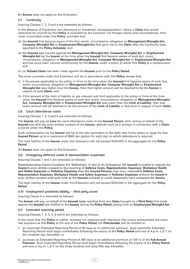An **Excess** does not apply to this Extension.

# 2.7 Continuitu

Insuring Clauses 1, 2, 3 and 4 are extended as follows:

In the absence of fraudulent non-disclosure or fraudulent misrepresentation, where a **Claim** that would otherwise be covered by this **Policy** is excluded by the Exclusion 3.6 'Known claims and circumstances', then cover is provided under this **Policy**, provided that:

- (a) the **Insured** first became aware of the fact, event, circumstance, allegation or **Management Wrongful Act**, **Company Wrongful Act** or **Employment Wrongful Act** that gave rise to the **Claim** after the Continuity Date specified in the **Policy Schedule**; and
- (b) the **Insured** was insured against the **Management Wrongful Act**, **Company Wrongful Act** or **Employment Wrongful Act** by the **Insurer** at the time when the **Insured** first became aware of such fact, event, circumstance, allegation or **Management Wrongful Act**, **Company Wrongful Act** or **Employment Wrongful Act** and has since been insured continuously by the **Insurer,** under a policy of which this **Policy** is a replacement; and
- (c) no **Related Claim** has been made against the **Insured** prior to the **Policy Period**.

The cover provided under this Extension will be in accordance with this **Policy,** except that:

- (i) if the excess applicable to the policy in force at the time when the **Insured** first became aware of such fact, event, circumstance, allegation or **Management Wrongful Act**, **Company Wrongful Act** or **Employment Wrongful Act** was higher than the **Excess**, then that higher amount will be deemed to be the **Excess** in respect of such **Claim**; and
- (ii) if the amount of the limit of liability or any relevant sub limit applicable to the policy in force at the time when the **Insured** first became aware of such fact, event, circumstance, allegation or **Management Wrongful Act**, **Company Wrongful Act** or **Employment Wrongful Act** was lower than the **Limit of Liability**, then that lower amount will be deemed to be the amount of the **Limit of Liability** or Sub-limit in respect of such **Claim**.

#### 2.8 Court attendance costs

Insuring Clauses 1, 2, 3 and 4 are extended as follows:

The **Insurer** will pay as **Loss** the court attendance costs of any **Insured Person**, who, acting on behalf of the **Insured** and with the prior written consent of the **Insurer**, attends court as a witness in connection with a **Claim**  covered under this **Policy**.

Such compensation by the **Insurer** will be at the rate equivalent to the daily take home salary or wage for that **Insured Person** up to a maximum of \$500 per person for each day on which attendance is required.

The total liability of the **Insurer** under this Extension will not exceed \$100,000 in the aggregate for the **Policy Period**.

An **Excess** does not apply to this Extension.

2.9 Emergency defence costs & representation expenses

Insuring Clauses 1 and 2 are extended as follows:

Notwithstanding Claims Condition 8.4 'Settlement', if, due to an emergency, the **Insured** is unable to request the **Insurer's** prior written consent to the incurring of **Defence Costs**, **Representation Expenses**, **Workplace Health and Safety Expenses** or **Pollution Expenses** then the **Insured Persons** may incur reasonable **Defence Costs**, **Representation Expenses**, **Workplace Health and Safety Expenses** or **Pollution Expenses** without the **Insurer's**  prior written consent until such time as the **Insured** contacts or could reasonably have contacted the **Insurer**.

The total liability of the **Insurer** under this Extension will not exceed \$100,000 in the aggregate for the **Policy Period**.

2.10 Employment practices liability – third party cover

Insuring Clause 4 is extended as follows:

The **Insurer** will pay, on behalf of the **Insured**, **Loss** resulting from any **Claim** brought by a **Third Party** first made against the **Insured** and notified to the **Insurer** during the **Policy Period** arising from an **Employment Wrongful Act**.

# 2.11 Extended reporting period

Insuring Clauses 1, 2, 3, 4, 5 and 6 are extended as follows:

In the event that this **Policy** is neither renewed nor replaced with insurance that covers substantially the same risk exposure as this **Policy** at the end of the **Policy Period,** the **Policyholder** will be entitled to:

- 1. an automatic Extended Reporting Period of 90 days at nil additional premium. Such automatic Extended Reporting Period shall begin immediately following the expiry of the **Policy Period** and end at 4.p.m. L.S.T. on the ninetieth day thereafter; or
- 2. purchase an Extended Reporting Period of 365 days at an additional premium of 100 % of the **Full Annual Premium**. Such Extended Reporting Period shall begin immediately following the expiry of the **Policy Period**  and end at 4.p.m. L.S.T. on the three hundred and sixty-fifth day thereafter.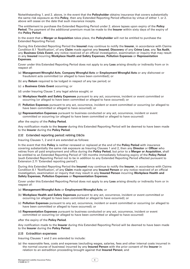Notwithstanding 1. and 2. above, in the event that the **Policyholder** obtains insurance that covers substantially the same risk exposure as this **Policy**, then any Extended Reporting Period effective by virtue of either 1. or 2. above will cease on the date that such insurance incepts.

The entitlement to purchase the Extended Reporting Period under 2. above lapses upon expiry of the **Policy Period.** The payment of the additional premium must be made to the **Insurer** within sixty days of the expiry of the **Policy Period**.

In the event that a **Merger or Acquisition** takes place, the **Policyholder** will not be entitled to purchase the Extended Reporting Period.

During this Extended Reporting Period the **Insured** may continue to notify the **Insurer**, in accordance with Claims Condition 8.1 'Notification', of any **Claim** made against any **Insured**, **Discovery** of any **Crime Loss**, any **Tax Audit**, any **Business Crisis Event**, any notice received of an official investigation, examination or inquiry that may result in any **Insured** incurring **Workplace Health and Safety Expenses**, **Pollution Expenses** or **Representation Expenses**.

Cover under this Extended Reporting Period does not apply to any **Loss** arising directly or indirectly from or in respect of:

- (a) **Management Wrongful Acts**, **Company Wrongful Acts** or **Employment Wrongful Acts** or any dishonest or fraudulent acts committed (or alleged to have been committed); or
- (b) any **Return** required to be lodged in respect of any tax period; or
- (c) a **Business Crisis Event** occurring; or
- (d) under Insuring Clause 7, any legal advice sought; or
- (e) **Workplace Health and Safety Expenses** pursuant to any act, occurrence, incident or event committed or occurring (or alleged to have been committed or alleged to have occurred); or
- (f) **Pollution Expenses** pursuant to any act, occurrence, incident or event committed or occurring (or alleged to have been committed or alleged to have occurred); or
- (g) **Representation Expenses** pursuant to business conducted or any act, occurrence, incident or event committed or occurring (or alleged to have been committed or alleged to have occurred)

after the expiry of the **Policy Period**.

Any notification made to the **Insurer** during this Extended Reporting Period will be deemed to have been made to the **Insurer** during the **Policy Period**.

# 2.12 Extended reporting period: retiring D&Os

Insuring Clauses 1, 2 and 4 are extended as follows:

In the event that this **Policy** is neither renewed or replaced at the end of the **Policy Period** with insurance covering substantially the same risk exposure as Insuring Clauses 1 and 2, then any **Director** or **Officer** who retires from all paid employment and office during the **Policy Period**, but prior to a **Merger or Acquisition**, shall be entitled to an Extended Reporting Period of 120 months immediately following expiry of the **Policy Period**  (such Extended Reporting Period not to be in addition to any Extended Reporting Period effected pursuant to Extension 2.11 'Extended reporting period').

During this Extended Reporting Period the **Insured** may continue to notify the **Insurer**, in accordance with Claims Condition 8.1 'Notification', of any **Claim** made against any **Insured Person** or any notice received of an official investigation, examination or inquiry that may result in any **Insured Person** incurring **Workplace Health and Safety Expenses**, **Pollution Expenses** or **Representation Expenses**.

Cover under this Extended Reporting Period does not apply to any **Loss** arising directly or indirectly from or in respect of:

#### (a) **Management Wrongful Acts** or **Employment Wrongful Acts**; or

- (b) **Workplace Health and Safety Expenses** pursuant to any act, occurrence, incident or event committed or occurring (or alleged to have been committed or alleged to have occurred); or
- (c) **Pollution Expenses** pursuant to any act, occurrence, incident or event committed or occurring (or alleged to have been committed or alleged to have occurred); or
- (d) **Representation Expenses** pursuant to business conducted or any act, occurrence, incident or event committed or occurring (or alleged to have been committed or alleged to have occurred)

after the expiry of the **Policy Period**.

Any notification made to the **Insurer** during this Extended Reporting Period will be deemed to have been made to the **Insurer** during the **Policy Period.**

#### 2.13 Extradition expenses

Insuring Clauses 1 and 2 are extended to include:

(a) the reasonable fees, costs and expenses (excluding wages, salaries, fees and other internal costs incurred in the normal course of business) incurred by any **Insured Person** with the prior consent of the **Insurer** in relation to an extradition proceeding brought against that **Insured Person**; and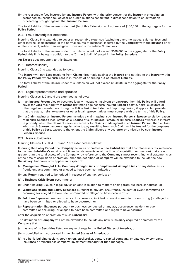(b) the reasonable fees incurred by any **Insured Person** with the prior consent of the **Insurer** in engaging an accredited counsellor, tax adviser or public relations consultant in direct connection to an extradition proceeding brought against that **Insured Person**.

The total liability of the **Insurer** under part (b) of this Extension will not exceed \$100,000 in the aggregate for the **Policy Period**.

# 2.14 Fraud investigator expenses

Insuring Clause 5 is extended to cover all reasonable expenses (excluding overtime wages, salaries, fees and other internal costs incurred in the normal course of business) incurred by the **Company** with the **Insurer's** prior written consent, solely to investigate, prove and substantiate **Crime Loss**.

The total liability of the **Insurer** under this Extension will not exceed \$100,000 in the aggregate for the **Policy Period**, this limit being in addition to the 'Crime Sub-limit' stated in the **Policy Schedule**.

An **Excess** does not apply to this Extension.

#### 2.15 Internet liability

Insuring Clause 3 is extended as follows:

The **Insurer** will pay **Loss** resulting from **Claims** first made against the **Insured** and notified to the **Insurer** within the **Policy Period**, where such **Loss** is in respect of or arising out of **Internet Liability**.

The total liability of the **Insurer** under this Extension will not exceed \$150,000 in the aggregate for the **Policy Period**.

#### 2.16 Legal representatives and spouses

Insuring Clauses 1, 2 and 4 are extended as follows:

- (a) If an **Insured Person** dies or becomes legally incapable, insolvent or bankrupt, then this **Policy** will afford cover for **Loss** resulting from **Claims** first made against such **Insured Person's** estate, heirs, executors or other legal representatives during the **Policy Period** (or Extended Reporting Period, if applicable), provided that the estate, heirs, executors or other legal representatives must comply with the terms of this **Policy**.
- (b) If a **Claim** against an **Insured Person** includes a claim against such **Insured Person's Spouse** solely by reason of (i) such **Spouse's** legal status as a **Spouse** of such **Insured Person**, or (ii) such **Spouse's** ownership interest in property which the claimant seeks as recovery for **Claims** made against such **Insured Person**, then all loss which such **Spouse** becomes legally liable to pay resulting from such **Claim** will be treated for the purposes of this **Policy** as **Loss**, except to the extent the **Claim** alleges any act, error or omission by such **Insured Person's Spouse**.

# 2.17 New subsidiaries

Insuring Clauses 1, 2, 3, 4, 5, 6 and 7 are extended as follows:

If, during the **Policy Period,** the **Company** acquires or creates a new **Subsidiary** that has total assets (by reference to the new **Subsidiary's** most recent financial statements as at the time of acquisition or creation) that are no greater than the total assets of the **Company** (by reference to the **Company's** most recent financial statements as at the time of acquisition or creation), then the definition of **Company** will be extended to include the new **Subsidiary**, but cover only applies in respect of:

- (a) **Management Wrongful Acts**, **Company Wrongful Acts** or **Employment Wrongful Acts** or any dishonest or fraudulent acts committed or alleged to have been committed; or
- (b) any **Return** required to be lodged in respect of any tax period; or
- (c) a **Business Crisis Event** occurring; or
- (d) under Insuring Clause 7, legal advice sought in relation to matters arising from business conducted; or
- (e) **Workplace Health and Safety Expenses** pursuant to any act, occurrence, incident or event committed or occurring (or alleged to have been committed or alleged to have occurred); or
- (f) **Pollution Expenses** pursuant to any act, occurrence, incident or event committed or occurring (or alleged to have been committed or alleged to have occurred); or
- (g) **Representation Expenses** pursuant to business conducted or any act, occurrence, incident or event committed or occurring (or alleged to have been committed or alleged to have occurred)

after the acquisition or creation of such **Subsidiary**.

The definition of **Company** will not be extended to include any new **Subsidiary** acquired or created by the **Company** that:

- (a) has any of its **Securities** listed on any exchange in the **United States of America**; or
- (b) is domiciled or incorporated in the **United States of America**; or
- (c) is a bank, building society, credit union, stockbroker, venture capital company, private equity company, insurance or reinsurance company, investment manager or fund manager.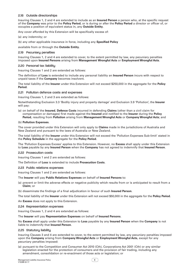# 2.18 Outside directorships

Insuring Clauses 1, 2 and 4 are extended to include as an **Insured Person** a person who, at the specific request of the **Company** was prior to the **Policy Period**, or is during or after the **Policy Period** a director or officer of, or occupies a position of equivalent status in, any **Outside Entity**.

Any cover afforded by this Extension will be specifically excess of:

- (a) any indemnity; or
- (b) any other applicable insurance in force, including any **Specified Policy**

available from or through the **Outside Entity**.

# 2.19 Pecuniary penalties

Insuring Clauses 1, 2 and 4 are extended to cover, to the extent permitted by law, any pecuniary penalties imposed upon **Insured Persons** arising from **Management Wrongful Acts** or **Employment Wrongful Acts**.

# 2.20 Personal tax liability

Insuring Clauses 1 and 2 are extended as follows:

The definition of **Loss** is extended to include any personal liability an **Insured Person** incurs with respect to unpaid taxes if the **Company** becomes insolvent.

The total liability of the **Insurer** under this Extension will not exceed \$250,000 in the aggregate for the **Policy Period.**

# 2.21 Pollution defence costs and expenses

Insuring Clauses 1, 2 and 3 are extended as follows:

Notwithstanding Exclusion 3.3 'Bodily injury and property damage' and Exclusion 3.9 'Pollution', the **Insurer**  will pay:

(a) on behalf of the **Insured**, **Defence Costs** incurred in defending **Claims** (other than a civil claim for compensation or damages) first made against the **Insured** and notified to the **Insurer** during the **Policy Period**, resulting from **Pollution** arising from **Management Wrongful Acts** or **Company Wrongful Acts**; and

# (b) **Pollution Expenses**.

The cover provided under this Extension will only apply to **Claims** made in the jurisdictions of Australia and New Zealand and pursuant to the laws of Australia or New Zealand.

The total liability of the **Insurer** under this Extension will not exceed the 'Pollution Expenses Sub-limit' stated in the **Policy Schedule** in the aggregate for the **Policy Period**.

The 'Pollution Expenses Excess' applies to this Extension. However, no **Excess** shall apply under this Extension to **Loss** payable by any **Insured Person** when the **Company** has not agreed to indemnify that **Insured Person**.

# 2.22 Prosecution costs

Insuring Clauses 1 and 2 are extended as follows:

The Definition of **Loss** is extended to include **Prosecution Costs**.

# 2.23 Public relations expenses

Insuring Clauses 1 and 2 are extended as follows:

# The **Insurer** will pay **Public Relations Expenses** on behalf of **Insured Persons** to:

- (a) prevent or limit the adverse effects or negative publicity which results from or is anticipated to result from a **Claim**; or
- (b) disseminate the findings of a final adjudication in favour of such **Insured Person**.

The total liability of the **Insurer** under this Extension will not exceed \$50,000 in the aggregate for the **Policy Period**.

An **Excess** does not apply to this Extension.

# 2.24 Representation expenses

Insuring Clauses 1, 2 and 4 are extended as follows:

# The **Insurer** will pay **Representation Expenses** on behalf of **Insured Persons**.

No **Excess** shall apply under this Extension to **Loss** payable by any **Insured Person** when the **Company** is not liable to indemnify that **Insured Person**.

# 2.25 Statutory liability

Insuring Clauses 3 and 4 are extended to cover, to the extent permitted by law, any pecuniary penalties imposed upon the **Company** arising from **Company Wrongful Acts** or **Employment Wrongful Acts**, except for any pecuniary penalties imposed:

(a) pursuant to the Competition and Consumer Act 2010 (Cth), Corporations Act 2001 (Cth) or any similar legislation enacted for the protection of consumers and the provision of fair trading, including any amendment, consolidation or re-enactment of those acts or legislation; or

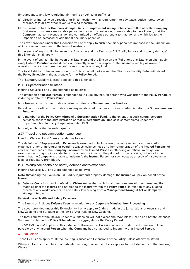- (b) pursuant to any law regulating air, marine or vehicular traffic; or
- (c) directly or indirectly as a result of or in connection with a requirement to pay taxes, duties, rates, levies, charges, fees or any other revenue raising measure; or
- (d) as a result of further **Company Wrongful Acts** or **Employment Wrongful Acts** committed after the **Company**  first knew, or where a reasonable person in the circumstances ought reasonably to have known, that the **Company** had contravened a law and committed an offence pursuant to that law, and which led to the imposition of increased or additional pecuniary penalties.

The cover provided under this Extension will only apply to such pecuniary penalties imposed in the jurisdiction of Australia and pursuant to the laws of Australia.

In the event of any conflict between this Extension and the Exclusion 3.3 'Bodily injury and property damage', this Extension shall apply.

In the event of any conflict between this Extension and the Exclusion 3.9 'Pollution', this Extension shall apply, except where **Pollution** arises directly or indirectly from or in respect of the **Insured's** liability as owner or operator of any aircraft, marine craft or motor vehicle of any kind.

The total liability of the **Insurer** under this Extension will not exceed the 'Statutory Liability Sub-limit' stated in the **Policy Schedule** in the aggregate for the **Policy Period**.

The 'Statutory Liability Excess' applies to this Extension.

# 2.26 Superannuation trustees

Insuring Clauses 1 and 2 are extended as follows:

The definition of **Insured Person** is extended to include any natural person who was prior to the **Policy Period**, or is during or after the **Policy Period**:

- (a) a trustee, constructive trustee or administrator of a **Superannuation Fund**; or
- (b) a director or officer of a trustee company established to act as a trustee or administrator of a **Superannuation Fund**; or
- (c) a member of the **Policy Committee** of a **Superannuation Fund**, to the extent that such natural person's activities concern the administration of that **Superannuation Fund** as is contemplated under the Superannuation Industry (Supervision) Act 1993

but only whilst acting in such capacity.

# 2.27 Travel and accommodation expenses

Insuring Clauses 1 and 2 are extended as follows:

The definition of **Representation Expenses** is extended to include reasonable travel and accommodation expenses (other than regular or overtime wages, salaries, fees or other remuneration of the **Insured Persons**, or costs or overheads of the **Company**) incurred by an **Insured Person** in attending an official investigation, examination or inquiry in a state, territory or country in which they do not normally reside, but only to the extent that the **Company** is unable to indemnify the **Insured Person** for such costs as a result of insolvency or legal or regulatory prohibition.

# 2.28 Workplace health and safety defence costs/expenses

Insuring Clauses 1, 2, and 3 are extended as follows:

Notwithstanding the Exclusion 3.3 'Bodily injury and property damage', the **Insurer** will pay on behalf of the **Insured**:

(a) **Defence Costs** incurred in defending **Claims** (other than a civil claim for compensation or damages) first made against the **Insured** and notified to the **Insurer** within the **Policy Period**, in relation to any alleged breach of any workplace health and safety law arising from a **Management Wrongful Act** or **Company Wrongful Act**; and

# (b) **Workplace Health and Safety Expenses**.

This Extension includes **Defence Costs** in relation to any **Corporate Manslaughter Proceeding**.

The cover provided under this Extension will only apply to **Claims** made in the jurisdictions of Australia and New Zealand and pursuant to the laws of Australia or New Zealand.

The total liability of the **Insurer** under this Extension will not exceed the 'Workplace Health and Safety Expenses Sub-limit' stated in the **Policy Schedule** in the aggregate for the **Policy Period**.

The 'WH&S Excess' applies to this Extension. However, no **Excess** shall apply under this Extension to **Loss** payable by any **Insured Person** when the **Company** has not agreed to indemnify that **Insured Person**.

# 3. Exclusions

These Exclusions apply to all the Insuring Clauses and Extensions of the **Policy** unless otherwise stated.

Where an Exclusion applies to a particular Insuring Clause then it also applies to the Extensions to that Insuring Clause.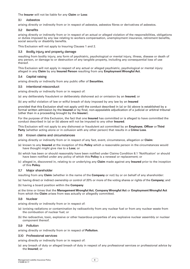The **Insurer** will not be liable for any **Claim** or **Loss**:

# 3.1 Asbestos

arising directly or indirectly from or in respect of asbestos, asbestos fibres or derivatives of asbestos.

# 3.2 Benefits

arising directly or indirectly from or in respect of an actual or alleged violation of the responsibilities, obligations or duties imposed by any law relating to workers compensation, unemployment insurance, retirement benefits, social security or disability benefits.

This Exclusion will not apply to Insuring Clauses 1 and 2.

# 3.3 Bodily injury and property damage

resulting from bodily injury, any form of psychiatric, psychological or mental injury, illness, disease or death of any person, or damage to or destruction of any tangible property, including any consequential loss of use thereof.

This Exclusion will not apply in respect of any actual or alleged psychiatric, psychological or mental injury alleged in any **Claim** by any **Insured Person** resulting from any **Employment Wrongful Act**.

# 3.4 Capital raising

arising directly or indirectly from any public offer of **Securities**.

# 3.5 Intentional misconduct

arising directly or indirectly from or in respect of:

(a) any deliberately fraudulent or deliberately dishonest act or omission by an **Insured**; or

(b) any wilful violation of law or wilful breach of duty imposed by any law by an **Insured**

provided that this Exclusion shall not apply until the conduct described in (a) or (b) above is established by a formal written admission by the **Insured** or by final, non-appealable adjudication of a judicial or arbitral tribunal (other than in a proceeding brought by the **Insurer**).

For the purpose of this Exclusion, the fact that one **Insured** has committed or is alleged to have committed the conduct described in (a) or (b) above will not be imputed to any other **Insured**.

This Exclusion will not apply to any dishonest or fraudulent act committed by an **Employee**, **Officer** or **Third Party** (whether acting alone or in collusion with any other person) that results in a **Crime Loss**.

# 3.6 Known claims and circumstances

arising directly or indirectly from or in respect of any fact, event, circumstance, allegation or **Claim**:

- (a) known to any **Insured** at the inception of this **Policy** which a reasonable person in the circumstances would have thought might give rise to a **Loss**; or
- (b) which has been or should reasonably have been notified under Claims Condition 8.1 'Notification' or should have been notified under any policy of which this **Policy** is a renewal or replacement; or
- (c) alleged in, discovered in, relating to or underlying any **Claim** made against any **Insured** prior to the inception of this **Policy**.

# 3.7 Major shareholder

resulting from any **Claim** (whether in the name of the **Company** or not) by or on behalf of any shareholder:

- (a) having direct or indirect ownership or control of 20% or more of the voting shares or rights of the **Company**; and
- (b) having a board position within the **Company**

at the time or times that the **Management Wrongful Act**, **Company Wrongful Act** or **Employment Wrongful Act**  from which the **Claim** arises from was actually or allegedly committed.

# 3.8 Nuclear

arising directly or indirectly from or in respect of:

- (a) ionising radiations or contamination by radioactivity from any nuclear fuel or from any nuclear waste from the combustion of nuclear fuel; or
- (b) the radioactive, toxic, explosive or other hazardous properties of any explosive nuclear assembly or nuclear component thereof.

# 3.9 Pollution

arising directly or indirectly from or in respect of **Pollution**.

# 3.10 Professional services

arising directly or indirectly from or in respect of:

(a) any breach of duty or alleged breach of duty in respect of any professional services or professional advice by the **Insured**; or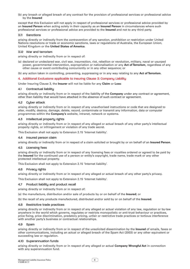(b) any breach or alleged breach of any contract for the provision of professional services or professional advice by the **Insured**

except that this Exclusion will not apply in respect of professional services or professional advice provided by an **Insured Person** when acting solely in their capacity as an **Insured Person** in circumstances where such professional services or professional advice are provided to the **Insured** and not to any third party.

# 3.11 Sanctions

arising directly or indirectly from the contravention of any sanction, prohibition or restriction under United Nations resolutions or trade or economic sanctions, laws or regulations of Australia, the European Union, United Kingdom or the **United States of America**.

# 3.12 War and terrorism

arising directly or indirectly from or in respect of:

- (a) declared or undeclared war, civil war, insurrection, riot, rebellion or revolution, military, naval or usurped power, governmental intervention, expropriation or nationalisation or any **Act of Terrorism**, regardless of any other cause or event contributing concurrently or in any other sequence; or
- (b) any action taken in controlling, preventing, suppressing or in any way relating to any **Act of Terrorism**.

# 4. Additional Exclusions applicable to Insuring Clause 3: Company Liability

Under Insuring Clause 3, the **Insurer** will not be liable for any **Claim** or **Loss**:

# 4.1 Contractual liabilitu

arising directly or indirectly from or in respect of the liability of the **Company** under any contract or agreement, other than liability that would have attached in the absence of such contract or agreement.

# 4.2 Cyber attack

arising directly or indirectly from or in respect of any unauthorised instructions or code that are designed to alter, modify, destroy, damage, delete, record, contaminate or transmit any information, data or computer programmes within the **Company's** website, intranet, network or systems.

# 4.3 Intellectual property rights

arising directly or indirectly from or in respect of any alleged or actual breach of any other party's intellectual property rights, or infringement or violation of any trade secret.

This Exclusion shall not apply to Extension 2.15 'Internet liability'.

# 4.4 Insured person claim

arising directly or indirectly from or in respect of a claim solicited or brought by or on behalf of an **Insured Person**.

# 4.5 Licensing fees

arising directly or indirectly from or in respect of any licensing fees or royalties ordered or agreed to be paid by the **Insured** for the continued use of a person or entity's copyright, trade name, trade mark or any other protected intellectual property.

This Exclusion shall not apply to Extension 2.15 'Internet liability'.

# 4.6 Privacu rights

arising directly or indirectly from or in respect of any alleged or actual breach of any other party's privacy.

This Exclusion shall not apply to Extension 2.15 'Internet liability'.

# 4.7 Product liability and product recall

arising directly or indirectly from or in respect of:

(a) the manufacture, distribution and/or sale of products by or on behalf of the **Insured**; or

(b) the recall of any products manufactured, distributed and/or sold by or on behalf of the **Insured**.

# 4.8 Restrictive trade practices

arising directly or indirectly from or in respect of any alleged or actual violation of any law, regulation or by-law anywhere in the world which governs, regulates or restricts monopolistic or anti-trust behaviour or practices, price fixing, price discrimination, predatory pricing, unfair or restrictive trade practices or tortious interference with another party's business or contractual relationships.

# 4.9 Spam

arising directly or indirectly from or in respect of the unsolicited dissemination by the **Insured** of emails, faxes or other communications, including an actual or alleged breach of the Spam Act (2003) or any other equivalent or succeeding law or regulation.

# 4.10 Superannuation funds

arising directly or indirectly from or in respect of any alleged or actual **Company Wrongful Act** in connection with any superannuation fund.

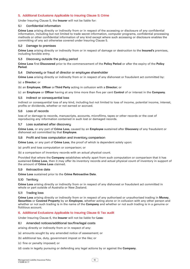# 5. Additional Exclusions Applicable to Insuring Clause 5: Crime

Under Insuring Clause 5, the **Insurer** will not be liable for:

# 5.1 Confidential information

**Crime Loss** arising directly or indirectly from or in respect of the accessing or disclosure of any confidential information, including but not limited to trade secret information, computer programs, confidential processing methods or other confidential information of any kind except where such accessing or disclosure enables the committing of any act otherwise covered under Insuring Clause 5.

# 5.2 Damage to premises

**Crime Loss** arising directly or indirectly from or in respect of damage or destruction to the **Insured's** premises, including forcible entry.

# 5.3 Discoveru outside the policu period

**Crime Loss** first **Discovered** prior to the commencement of the **Policy Period** or after the expiry of the **Policy Period**.

# 5.4 Dishonesty or fraud of director or employee shareholder

**Crime Loss** arising directly or indirectly from or in respect of any dishonest or fraudulent act committed by:

# (a) a **Director**; or

(b) an **Employee**, **Officer** or **Third Party** acting in collusion with a **Director**; or

(c) an **Employee** or **Officer** having at any time more than five per cent **Control** of or interest in the **Company**.

# 5.5 Indirect or consequential loss

indirect or consequential loss of any kind, including but not limited to loss of income, potential income, interest, profits or dividends, whether or not earned or accrued.

# 5.6 Loss of records

loss of or damage to records, manuscripts, accounts, microfilms, tapes or other records or the cost of reproducing any information contained in such lost or damaged records.

# 5.7 Loss sustained after discovery

**Crime Loss**, or any part of **Crime Loss**, caused by an **Employee** sustained after **Discovery** of any fraudulent or dishonest act committed by that **Employee**.

# 5.8 Profit and loss computation and inventory comparison

**Crime Loss**, or any part of **Crime Loss**, the proof of which is dependent solely upon:

(a) profit and loss computation or comparison; or

(b) a comparison of inventory records with an actual physical count.

Provided that where the **Company** establishes wholly apart from such computation or comparison that it has sustained **Crime Loss**, then it may offer its inventory records and actual physical count of inventory in support of the amount of **Crime Loss** claimed.

# 5.9 Retroactive date

**Crime Loss** sustained prior to the **Crime Retroactive Date**.

# 5.10 Territory

**Crime Loss** arising directly or indirectly from or in respect of any dishonest or fraudulent act committed in whole or part outside of Australia or New Zealand.

# 5.11 Trading loss

**Crime Loss** arising directly or indirectly from or in respect of any authorised or unauthorised trading in **Money**, **Securities** or **Covered Property** by an **Employee**, whether acting alone or in collusion with any other person and whether or not such trading is in the name of the **Company** and whether or not such trading is in a genuine or fictitious account.

# 6. Additional Exclusions Applicable to Insuring Clause 6: Tax audit

Under Insuring Clause 6, the **Insurer** will not be liable for **Loss**:

- 6.1 Amended notices/additional tax/fine/legal costs
- arising directly or indirectly from or in respect of any:
- (a) amounts sought by any amended notice of assessment; or
- (b) additional tax, duty, government impost or the like; or
- (c) fine or penalty imposed; or
- (d) costs in legally pursuing or defending any legal actions by or against the **Company**.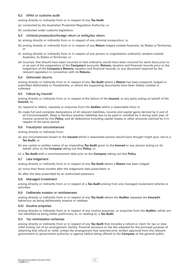# 6.2 APRA or customs audit

arising directly or indirectly from or in respect of any **Tax Audit**:

- (a) conducted by the Australian Prudential Regulation Authority; or
- (b) conducted under customs legislation.

#### 6.3 Criminal prosecution/foreign return or entity/tax return

- (a) arising directly or indirectly from or in respect of any criminal prosecution; or
- (b) arising directly or indirectly from or in respect of any **Return** lodged outside Australia, its States or Territories; or
- (c) arising directly or indirectly from or in respect of any person or organisation ordinarily resident outside Australia, its States or Territories; or
- (d) incurred, that should have been incurred or that ordinarily would have been incurred for work done prior to or as part of the preparation of the **Company's** accounts, **Returns**, taxation and financial records prior to the lodgement of the **Company's Returns**, taxation and financial records, or any document required by the relevant legislation in connection with its **Returns**.

#### 6.4 Dishonest returns

arising directly or indirectly from or in respect of any **Tax Audit** where a **Return** has been prepared, lodged or submitted dishonestly or fraudulently, or where the supporting documents have been falsely created or collected.

#### 6.5 Failure by Insured

arising directly or indirectly from or in respect of the failure of the **Insured**, or any party acting on behalf of the **Insured**, to:

- (a) respond to letters, requests or enquiries from the **Auditor** within a reasonable time; or
- (b) make full and complete declarations of all relevant liabilities, income and capital gains derived by it and of all Commonwealth, State or Territory taxation liabilities due to be paid or remitted by it during each year of income covered by this **Policy**, and all deductions including capital losses or other amounts claimed by it in respect of the same period.

#### 6.6 Fraud/prior circumstances

arising directly or indirectly from:

- (a) any circumstances known to the **Insured** which a reasonable person would have thought might give rise to a **Tax Audit**; or
- (b) any verbal or written notice of an impending **Tax Audit** given to the **Insured** or any person acting on its behalf, prior to the **Company** taking out this **Policy**; or
- (c) a **Tax Audit** with a commencement date prior to the **Company** taking out this **Policy**.

# 6.7 Late lodgement

arising directly or indirectly from or in respect of any **Tax Audit** where a **Return** has been lodged:

(a) more than three months after the lodgement date prescribed; or

(b) after the date prescribed by an authorised extension.

# 6.8 Managed investment

arising directly or indirectly from or in respect of a **Tax Audit** arising from any managed investment scheme or activities.

# 6.9 Deliberate evasion or recklessness

arising directly or indirectly from or in respect of any **Tax Audit** where the **Auditor** assesses the **Insured's**  behaviour as being deliberately evasive or reckless.

#### 6.10 Routine enquiries

arising directly or indirectly from or in respect of any routine enquiries, or enquiries from the **Auditor**, which are not identified as being either preliminary to, or relating to, a **Tax Audit**.

# 6.11 Tax minimisation schemes

arising directly or indirectly from or in respect of any **Tax Audit** that includes a refund or claim for tax or duty relief arising out of an arrangement, facility, financial structure or the like adopted for the principal purpose of obtaining that refund or relief, unless the arrangement has received prior written approval from the relevant government or government authority or agency before being offered to the **Company** or the general public.

 $\overline{\mathfrak{n}}$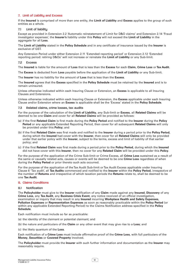# 7. Limit of Liability and Excess

If the **Insured** is comprised of more than one entity, the **Limit of Liability** and **Excess** applies to the group of such entities as a whole.

# 7.1 Limit of liability

Except as provided in Extension 2.2 'Automatic reinstatement of Limit for D&O claims' and Extension 2.14 'Fraud investigator expenses', the **Insurer's** liability under this **Policy** will not exceed the **Limit of Liability** in the aggregate for all **Loss**.

The **Limit of Liability** stated in the **Policy Schedule** and in any certificate of insurance issued by the **Insurer** is exclusive of GST.

Any Extension Period under either Extension 2.11 'Extended reporting period' or Extension 2.12 'Extended reporting period: retiring D&Os' will not increase or reinstate the **Limit of Liability** or any Sub-limit.

# 7.2 Excess

The **Insured** is liable for the amount of **Loss** that is less than the **Excess** for each **Claim**, **Crime Loss** or **Tax Audit**.

The **Excess** is deducted from **Loss** payable before the application of the **Limit of Liability** or any Sub-limit.

The **Insurer** has no liability for the amount of **Loss** that is less than the **Excess**.

The **Insured** agrees that the **Excess** specified in the **Policy Schedule** must be retained by the **Insured** and is to remain uninsured.

Unless otherwise indicated within each Insuring Clause or Extension, an **Excess** is applicable to all Insuring Clauses and Extensions.

Unless otherwise indicated within each Insuring Clause or Extension, the **Excess** applicable under each Insuring Clause and/or Extension where an **Excess** is applicable shall be the 'Excess' stated in the **Policy Schedule**.

# 7.3 Related claims, crime losses, tax audits

For the purpose of the calculation of the **Limit of Liability**, any Sub-limit or **Excess**, all **Related Claims** will be deemed to be one **Claim** and cover for all **Related Claims** will be provided as follows:

- (a) if the first **Related Claim** is first made during the **Policy Period** and notified to the **Insurer** during the **Policy Period** or any applicable Extended Reporting Period, then cover for all subsequent **Related Claims** will only be provided under this **Policy**; and
- (b) if the first **Related Claim** was first made and notified to the **Insurer** during a period prior to the **Policy Period**, during which the **Insured** had cover with the **Insurer**, then cover for all **Related Claims** will only be provided under that earlier policy with the **Insurer**, subject to the terms, excess and limit of liability of that earlier policy; and
- (c) if the first **Related Claim** was first made during a period prior to the **Policy Period**, during which the **Insured** did not have cover with this **Insurer**, then no cover for any **Related Claim** will be provided under this **Policy**.

For the purpose of the application of the Crime Sub-limit or Crime Excess, all **Crime Loss** sustained as a result of the same or causally related acts, causes or events will be deemed to be one **Crime Loss** regardless of when during the **Policy Period** or prior thereto such acts occurred.

For the purpose of the application of the Tax Audit Sub-limit or Tax Audit Excess applicable under Insuring Clause 6 'Tax audit', all **Tax Audits** commenced and notified to the **Insurer** within the **Policy Period**, irrespective of the number of **Returns** and irrespective of which taxation periods the **Returns** relate to, shall be deemed to be one **Tax Audit**.

# 8. Claims Conditions

# 8.1 Notification

The **Policyholder** must give to the **Insurer** notification of any **Claim** made against any **Insured**, **Discovery** of any **Crime Loss**, any **Tax Audit**, any **Business Crisis Event**, any notice received of an official investigation, examination or inquiry that may result in any **Insured** incurring **Workplace Health and Safety Expenses**, **Pollution Expenses** or **Representation Expenses** as soon as reasonably practicable within the **Policy Period** (or within any applicable Extended Reporting Period) to the Claims Notification address specified in the **Policy Schedule**.

Each notification must include so far as practicable:

- (a) the identity of the claimant or potential claimant; and
- (b) the nature and particulars of the **Claim** or any other event that may give rise to a **Loss**; and
- (c) the likely quantum of the **Loss**.

Each notification of a **Crime Loss** must include affirmative proof of the **Crime Loss**, with full particulars of the **Money**, **Securities** or **Covered Property** involved.

The **Policyholder** must provide the **Insurer** with such further information and documentation as the **Insurer** may reasonably require.

 $\overline{12}$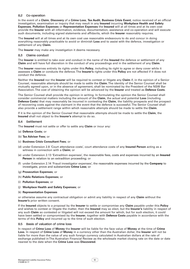# 8.2 Co-operation

In the event of a **Claim**, **Discovery** of a **Crime Loss**, **Tax Audit**, **Business Crisis Event**, notice received of an official investigation, examination or inquiry that may result in any **Insured** incurring **Workplace Health and Safety Expenses**, **Pollution Expenses** or **Representation Expenses** the **Insured** will at all times and at its own cost provide the **Insurer** with all information, evidence, documentation, assistance and co-operation and will execute such documents, including signed statements and affidavits, which the **Insurer** reasonably requires.

The **Insured** will at all times and at its own cost use reasonable endeavours to do and concur in doing everything reasonably practicable to avoid or diminish **Loss** and to assist with the defence, investigation or settlement of any **Claim**.

The **Insurer** may make any investigation it deems necessary.

# 8.3 Claims conduct

The **Insurer** is entitled to take over and conduct in the name of the **Insured** the defence or settlement of any **Claim** and will have full discretion in the conduct of any proceedings and in the settlement of any **Claim**.

The **Insurer** reserves entirely its rights under this **Policy**, including its right to agree or deny cover while it assesses a **Claim** or conducts the defence. The **Insurer's** rights under this **Policy** are not affected if it does not conduct the defence.

Neither the **Insured** nor the **Insurer** will be required to contest or litigate any **Claim** if, in the opinion of a Senior Counsel, reasonable attempts should be made to settle the **Claim**. The identity of the Senior Counsel shall be mutually agreed upon, or in the absence of agreement, shall be nominated by the President of the NSW Bar Association. The cost of obtaining the opinion will be advanced by the **Insurer** and treated as **Defence Costs**.

The Senior Counsel shall provide the opinion in writing. In formulating the opinion the Senior Counsel shall consider commercial matters including the amount of the **Claim**, the actual and potential **Loss** (including **Defence Costs**) that may reasonably be incurred in contesting the **Claim**, the liability prospects and the prospect of recovering costs against the claimant in the event that the defence is successful. The Senior Counsel shall also provide a settlement range within which reasonable attempts should be made to settle the **Claim**.

If it is the opinion of the Senior Counsel that reasonable attempts should be made to settle the **Claim**, the **Insured** shall not object to the **Insurer's** attempt to do so.

# 8.4 Settlement

The **Insured** must not settle or offer to settle any **Claim** or incur any:

- (a) **Defence Costs**; or
- (b) **Tax Adviser Fees**; or
- (c) **Business Crisis Consultant Fees**; or
- (d) under Extension 2.8 'Court attendance costs', court attendance costs of any **Insured Person** acting as a witness in connection with a **Claim**; or
- (e) under Extension 2.13 'Extradition expenses', the reasonable fees, costs and expenses incurred by an **Insured Person** in relation to an extradition proceeding; or
- (f) under Extension 2.14 'Fraud investigator expenses', the reasonable expenses incurred by the **Company** to investigate, prove and substantiate **Crime Loss**; or
- (g) **Prosecution Expenses**; or
- (h) **Public Relations Expenses**; or
- (i) **Pollution Expenses**; or
- (j) **Workplace Health and Safety Expenses**; or
- (k) **Representation Expenses**

or otherwise assume any contractual obligation or admit any liability in respect of any **Claim** without the **Insurer's** prior written consent.

If the **Insured** objects to a proposal by the **Insurer** to settle or compromise any **Claim** payable under this **Policy**  and wishes to contest or litigate the matter, then the **Insured** may so elect, but the **Insurer's** liability in respect of any such **Claim** so contested or litigated will not exceed the amount for which, but for such election, it could have been settled or compromised by the **Insurer**, together with **Defence Costs** payable in accordance with the terms of this **Policy** and incurred up to the time of such election.

#### 8.5 Basis of valuation of crime loss

In respect of **Crime Loss** of **Money** the **Insurer** will be liable for the face value of **Money** at the time of **Crime Loss**. In respect of **Crime Loss** of **Money** in a currency other than the Australian dollar, the **Insurer** will not be liable for more than the value of any such foreign currency calculated in Australian dollars at the rate of exchange published in The Australian Financial Review as the wholesale market closing rate on the date or date nearest to the date when the **Crime Loss** was **Discovered**.

 $\overline{13}$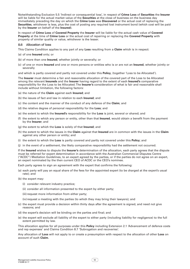Notwithstanding Exclusion 5.5 'Indirect or consequential loss', in respect of **Crime Loss** of **Securities** the **Insurer**  will be liable for the actual market value of the **Securities** at the close of business on the business day immediately preceding the day on which the **Crime Loss** was **Discovered** or the actual cost of replacing the **Securities**, whichever is less, plus the cost of posting any required lost instrument bond (which cost will be paid by the **Insurer** on behalf of the **Insured**).

In respect of **Crime Loss** of **Covered Property** the **Insurer** will be liable for the actual cash value of **Covered Property** at the time of **Crime Loss** or the actual cost of repairing or replacing the **Covered Property** with property of similar quality or value, whichever is the lesser.

- 8.6 Allocation of loss
- This Claims Condition applies to any part of any **Loss** resulting from a **Claim** which is in respect:
- (a) of one **Insured** only; or
- (b) of more than one **Insured**, whether jointly or severally; or
- (c) of one or more **Insured** and one or more persons or entities who is or are not an **Insured**, whether jointly or severally

and which is partly covered and partly not covered under this **Policy**, (together 'Loss to be Allocated').

The **Insurer** must determine a fair and reasonable allocation of the covered part of the Loss to be Allocated among the relevant **Insureds** and the **Insurer** having regard to the extent of each **Insured's** comparative responsibility for the Loss to be Allocated. The **Insurer's** consideration of what is fair and reasonable shall include without limitation, the following factors:

- (a) the nature of the **Claim** against each **Insured**; and
- (b) the issues of fact and law in relation to each **Insured**; and
- (c) the content and the manner of the conduct of any defence of the **Claim**; and
- (d) the relative degree of personal responsibility for the **Loss**; and
- (e) the extent to which the **Insured's** responsibility for the **Loss** is joint, several or shared; and
- (f) the extent to which any person or entity, other than that **Insured**, would obtain a benefit from the payment by the **Insurer**; and
- (g) the extent to which the **Loss** is solely of that **Insured**; and
- (h) the extent to which the issues in the **Claim** against that **Insured** are in common with the issues in the **Claim**  against any other person or entity; and
- (i) the extent to which the **Loss** is partly covered and partly not covered under this **Policy**; and
- (j) in the event of a settlement, the likely comparative responsibility had the settlement not occurred.

If the **Insured** wishes to dispute the **Insurer's** determination of the allocation, each party agrees that the dispute must be referred for expert determination in accordance with the Australian Commercial Disputes Centre ("ACDC") Mediation Guidelines, to an expert agreed by the parties, or if the parties do not agree on an expert, an expert nominated by the then current CEO of ACDC or the CEO's nominee.

Each party agrees to sign an agreement with the expert that confirms the following:

- (a) each party will pay an equal share of the fees for the appointed expert (to be charged at the expert's usual rate); and
- (b) the expert may:
	- (i) consider relevant industry practice;
	- (ii) consider all information presented to the expert by either party;
	- (iii) request more information from either party;
	- (iv) request a meeting with the parties (to which they may bring their lawyers); and
- (c) the expert must provide a decision within thirty days after the agreement is signed, and need not give reasons; and
- (d) the expert's decision will be binding on the parties and final; and
- (e) the expert will exclude all liability of the expert to either party (including liability for negligence) to the full extent permitted by law.

This allocation applies for all purposes under this **Policy** including Extension 2.1 'Advancement of defence costs and rep expenses' and Claims Condition 8.7 'Subrogation and recoveries'.

Any allocation of **Loss** will not apply to or create a presumption with respect to the allocation of other **Loss** on account of such **Claim**.

 $\overline{14}$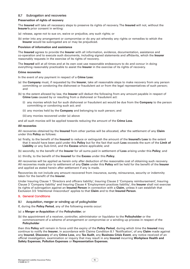# 8.7 Subrogation and recoveries

#### **Preservation of rights of recovery**

The **Insured** will take all necessary steps to preserve its rights of recovery. The **Insured** will not, without the **Insurer's** prior consent in writing:

- (a) release, agree not to sue on, waive or prejudice, any such rights; or
- (b) enter into any arrangement or compromise or do any act whereby any rights or remedies to which the **Insurer** would be subrogated are or may be prejudiced.

#### **Provision of information and assistance**

The **Insured** agrees to provide the **Insurer** with all information, evidence, documentation, assistance and co-operation and to execute such documents, including signed statements and affidavits, which the **Insurer**  reasonably requests in the exercise of its rights of recovery.

The **Insured** will at all times and at its own cost use reasonable endeavours to do and concur in doing everything reasonably practicable to assist the **Insurer** in the exercise of its rights of recovery.

#### **Crime recoveries**

In the event of any payment in respect of a **Crime Loss**:

- (a) the **Company** must, if requested by the **Insurer**, take all reasonable steps to make recovery from any person committing or condoning the dishonest or fraudulent act or from the legal representatives of such person; and
- (b) to the extent allowed by law, the **Insurer** will deduct the following from any amount payable in respect of **Crime Loss** caused by or resulting from a dishonest or fraudulent act:
	- (i) any monies which but for such dishonest or fraudulent act would be due from the **Company** to the person committing or condoning such act; and
	- (ii) any monies held by the **Company** and belonging to such person; and
	- (iii) any monies recovered under (a) above

and all such monies will be applied towards reducing the amount of the **Crime Loss**.

#### **All recoveries**

All recoveries obtained by the **Insured** from other parties will be allocated, after the settlement of any **Claim**  under this **Policy** as follows:

- (a) firstly, to the benefit of the **Insured** to reduce or extinguish the amount of the **Insured's Loss** to the extent that it would have been paid under this **Policy** but for the fact that such **Loss** exceeds the sum of the **Limit of Liability** or any Sub-limit, and the **Excess** where applicable; and
- (b) secondly, to the benefit of the **Insurer** for all sums paid in settlement of **Loss** arising under this **Policy**; and
- (c) thirdly, to the benefit of the **Insured** for the **Excess** under this **Policy**.

All recoveries will be applied as herein only after deduction of the reasonable cost of obtaining such recovery. All recoveries made prior to settlement of any **Claim** under this **Policy** will be held for the benefit of the **Insurer**  and applied as stated herein after settlement if any is made.

Recoveries do not include any amount recovered from insurance, surety, reinsurance, security or indemnity taken for the benefit of the **Insurer**.

Under Insuring Clause 1 'Directors and officers liability', Insuring Clause 2 'Company reimbursement', Insuring Clause 3 'Company liability' and Insuring Clause 4 'Employment practices liability', the **Insurer** shall not exercise its rights of subrogation against an **Insured Person** in connection with a **Claim**, unless it can establish that Exclusion 3.5 'Intentional misconduct' applies to that **Claim** and to that **Insured Person**.

# 9. General Conditions

- 9.1 Acquisition, merger or winding up of policyholder
- If, during the **Policy Period**, any of the following events occur:
- (a) a **Merger or Acquisition** of the **Policyholder**; or
- (b) the appointment of a receiver, controller, administrator or liquidator to the **Policyholder** or the commencement of a scheme of arrangement or compromise or a winding up process in respect of the **Policyholder**

then this **Policy** will remain in force until the expiry of the **Policy Period**, during which time the **Insured** may continue to notify the **Insurer**, in accordance with Claims Condition 8.1 'Notification', of any **Claim** made against any **Insured**, **Discovery** of any **Crime Loss**, any **Tax Audit**, any **Business Crisis Event**, any notice received of an official investigation, examination or inquiry that may result in any **Insured** incurring **Workplace Health and Safety Expenses**, **Pollution Expenses** or **Representation Expenses**.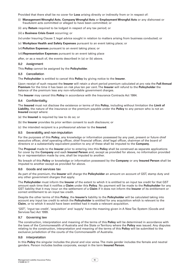Provided that there shall be no cover for **Loss** arising directly or indirectly from or in respect of:

- (i) **Management Wrongful Acts**, **Company Wrongful Acts** or **Employment Wrongful Acts** or any dishonest or fraudulent acts committed or alleged to have been committed; or
- (ii) any **Return** required to be lodged in respect of any tax period; or
- (iii) a **Business Crisis Event** occurring; or
- (iv) under Insuring Clause 7, legal advice sought in relation to matters arising from business conducted; or
- (v) **Workplace Health and Safety Expenses** pursuant to an event taking place; or
- (vi)**Pollution Expenses** pursuant to an event taking place; or
- (vii)**Representation Expenses** pursuant to an event taking place

after, or as a result of, the events described in (a) or (b) above.

# 9.2 Assignment

This **Policy** cannot be assigned by the **Policyholder**.

# 9.3 Cancellation

The **Policyholder** is entitled to cancel this **Policy** by giving notice to the **Insurer**.

Upon receipt of such request the **Insurer** will retain a short period premium calculated at pro rata the **Full Annual Premium** for the time it has been on risk plus ten per cent. The **Insurer** will refund to the **Policyholder** the balance of the premium less any non-refundable government charges.

The **Insurer** may cancel this **Policy** in accordance with the Insurance Contracts Act 1984.

# 9.4 Confidentiality

The **Insured** must not disclose the existence or terms of this **Policy**, including without limitation the **Limit of Liability**, the nature of the insurance or the premium payable under the **Policy** to any person who is not an **Insured** except where:

- (a) the **Insured** is required by law to do so; or
- (b) the **Insurer** provides its prior written consent to such disclosure; or
- (c) the intended recipient is a professional adviser to the **Insured**.

# 9.5 Severability and non-imputation

For the purposes of this **Policy**, any knowledge or information possessed by any past, present or future chief executive officer, chief operating officer, chief financial officer, chief legal officer, chairman of the board of directors or a substantially equivalent position to any of these shall be imputed to the **Company**.

The **Proposal** made to the **Insurer** prior to entering into this **Policy** shall be construed as separate applications for cover by the **Company** and each **Insured Person** and, except as provided for above, no information provided by or representation made by one, shall be imputed to another.

No breach of this **Policy** or knowledge or information possessed by the **Company** or any **Insured Person** shall be imputed to another except as provided for above.

# 9.6 Goods and services tax

As part of the premium, the **Insurer** will charge the **Policyholder** an amount on account of GST, stamp duty and any other government charges that apply.

The **Policyholder** must inform the **Insurer** of the extent to which it is entitled to an input tax credit for that GST amount each time that it notifies a **Claim** under this **Policy**. No payment will be made to the **Policyholder** for any GST liability that it may incur on the settlement of a **Claim** if it does not inform the **Insurer** of its entitlement or correct entitlement to an input tax credit.

Despite the other terms of this **Policy**, the **Insurer's** liability to the **Policyholder** will be calculated taking into account any input tax credit to which the **Policyholder** is entitled for any acquisition which is relevant to the **Claim**, or to which it would have been entitled had it made a relevant acquisition.

'GST', 'input tax credit', 'acquisition' and 'supply' have the meaning given in A New Tax System (Goods and Services Tax) Act 1999.

# 9.7 Governing law

The construction, interpretation and meaning of the terms of this **Policy** will be determined in accordance with the laws of the Commonwealth of Australia and the State or Territory where the **Policy** was issued. Any disputes relating to the construction, interpretation and meaning of the terms of this **Policy** will be submitted to the exclusive jurisdiction of the courts of the Commonwealth of Australia.

# 9.8 Interpretation

In this **Policy** the singular includes the plural and vice versa. The male gender includes the female and neutral genders. Person includes bodies corporate, except in the term **Insured Person**.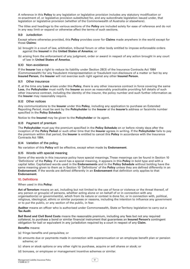A reference in this **Policy** to any legislation or legislative provision includes any statutory modification or re-enactment of, or legislative provision substituted for, and any subordinate legislation issued under, that legislation or legislative provision (whether of the Commonwealth of Australia or elsewhere).

The titles and headings to the various sections of the **Policy** are included solely for ease of reference and do not in any way limit or expand or otherwise affect the terms of such sections.

# 9.9 Jurisdiction

Except where otherwise provided, this **Policy** provides cover for **Claims** made anywhere in the world except for those **Claims**:

- (a) brought in a court of law, arbitration, tribunal forum or other body entitled to impose enforceable orders against the **Insured** in the **United States of America**; or
- (b) arising from the enforcement of any judgment, order or award in respect of any action brought in any court of law in **United States of America**.

# 9.10 Non-avoidance

If the **Insurer** has a right to reduce its liability under Section 28(3) of the Insurance Contracts Act 1984 (Commonwealth) for any fraudulent misrepresentation or fraudulent non-disclosure of a matter or fact by any **Insured Person**, the **Insurer** will not exercise such right against any other **Insured Person**.

# 9.11 Other insurance

If, at the time any **Loss** arises under this **Policy**, there is any other insurance contract in force covering the same **Loss**, the **Policyholder** must notify the **Insurer** as soon as reasonably practicable providing full details of such other insurance contract, including the identity of the insurer, the policy number and such further information as the **Insurer** may reasonably require.

# 9.12 Other notices

Any communications to the **Insurer** under this **Policy**, including any application to purchase an Extended Reporting Period, must be sent by the **Policyholder** to the **Insurer** at the **Insurer's** address or facsimile number specified in the **Policy Schedule**.

Notice to the **Insured** may be given to the **Policyholder** or its agent.

# 9.13 Paument of premium

The **Policyholder** must pay the premium specified in the **Policy Schedule** on or before ninety days after the inception of the **Policy Period** or such other time that the **Insurer** agrees in writing. If the **Policyholder** fails to pay the premium within that period, the **Insurer** is entitled to cancel this **Policy** in accordance with the Insurance Contracts Act 1984.

# 9.14 Variation of the policu

No variation of this **Policy** will be effective, except when made by **Endorsement**.

# 9.15 Words with special meaning

Some of the words in this insurance policy have special meanings. These meanings can be found in Section 10 'Definitions' of the **Policy**. If a word has a special meaning, it appears in this **Policy** in bold type and with a capital letter. Capitalised words used in the **Endorsements** and in the **Policy Schedule** without bolding have the same meaning given to them as in Section 10 'Definitions' of the **Policy** unless they are defined differently in an **Endorsement**. If the words are defined differently in an **Endorsement** that definition only applies to that **Endorsement**.

# 10. Definitions

# When used in this **Policy**:

**Act of Terrorism** means an act, including but not limited to the use of force or violence or the threat thereof, of any person or group(s) of persons, whether acting alone or on behalf of or in connection with any organisation(s) or government(s), which from its nature or context is done for, or in connection with, political, religious, ideological, ethnic or similar purposes or reasons, including the intention to influence any government or to put the public, or any section of the public, in fear.

**Auditor** means an officer who is authorised under Commonwealth, State or Territory legislation to carry out a **Tax Audit**.

**Bail Bond and Civil Bond Costs** means the reasonable premium, including any fees but not any required collateral, to purchase a bond or similar financial instrument that guarantees an **Insured Person's** contingent obligation for bail or equivalent in any jurisdiction required by a court in respect of any **Claim**.

# **Benefits** means:

- (a) fringe benefits and perquisites; or
- (b) amounts due or payments made in connection with superannuation or an employee benefit plan or pension scheme; or
- (c) share or stock options or any other right to purchase, acquire or sell shares or stock; or
- (d) bonuses, or employee or management incentive schemes or similar.

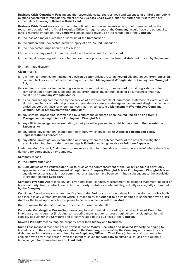**Business Crisis Consultant Fees** means the reasonable costs, charges, fees and expenses of a third party public relations consultant to mitigate the effect of the **Business Crisis Event**, but only during the first thirty days immediately following a **Business Crisis Event**.

**Business Crisis Event** means any one of the following unforeseen events which, if left unmanaged, in the reasonable opinion of the Chief Executive Officer (or equivalent) of the **Company**, would have the potential to have a material impact on the **Company's** consolidated revenue or the reputation of the **Company**:

- (a) the loss of a major customer or contract of the **Company**; or
- (b) the sudden and unexpected death or injury of any **Insured Person**; or
- (c) the unexpected imposition of a tax bill; or
- (d) the recall of any product manufactured, distributed or sold by the **Insured**; or
- (e) the illegal tampering with or contamination of any product manufactured, distributed or sold by the **Insured**; or
- (f) man-made disaster.

#### **Claim** means:

- (a) a written communication, including electronic communication, to an **Insured** alleging an act, error, omission, conduct, facts or circumstances that may constitute a **Management Wrongful Act** or **Employment Wrongful Act**; or
- (b) a written communication, including electronic communication, to an **Insured**, containing a demand for compensation or damages, alleging an act, error, omission, conduct, facts or circumstances that may constitute a **Company Wrongful Act**; or
- (c) a civil proceeding commenced by the service of a written complaint, summons, statement of claim, writ or similar pleading or an arbitral process, cross-claim, or counter claim against an **Insured** alleging an act, error, omission, conduct, facts or circumstances that may constitute a **Management Wrongful Act**, **Company Wrongful Act** or **Employment Wrongful Act**; or
- (d) any criminal proceeding commenced by a summons or charge of an **Insured Person** arising from a **Management Wrongful Act** or **Employment Wrongful Act**; or
- (e) any official investigation, examination, inquiry or other proceedings which gives rise to **Representation Expenses**; or
- (f) any official investigation, examination or inquiry which gives rise to **Workplace Health and Safety Representation Expenses**; or
- (g) any official investigation, examination or inquiry where the subject matter of the official investigation, examination, inquiry or other proceedings is **Pollution** which gives rise to **Pollution Expenses**.

Under Insuring Clause 3, **Claim** does not mean an action for injunctive or non-monetary relief where there is no demand for compensation or damages.

#### **Company** means

- (a) the **Policyholder**; and
- (b) **Subsidiaries** of the **Policyholder** prior to or as at the commencement of the **Policy Period**, but cover only applies in respect of **Management Wrongful Acts**, **Company Wrongful Acts** or **Employment Wrongful Acts** or any dishonest or fraudulent act committed or alleged to have been committed subsequent to the acquisition or creation of such **Subsidiary**.

**Company Wrongful Act** means any act, error, omission, conduct, misstatement, misleading statement, neglect or breach of: duty; trust; contract; warranty of authority; statute or confidentiality, actually or allegedly committed by the **Company**.

**Concluded Decision** means written notification of the **Auditor's** concluded views in connection with a **Tax Audit**  and includes any written statement which is intended by the **Auditor** to be its findings in connection with a **Tax Audit** or the basis upon which it proposes to act in connection with a **Tax Audit**.

**Control** means the definition of control in the Corporations Act 2001.

**Corporate Manslaughter Proceeding** means any formal criminal proceeding against an **Insured Person** for involuntary manslaughter (including constructive manslaughter or gross negligence manslaughter) in their capacity as such for the **Company** and directly related to the business of the **Company**.

**Covered Property** means tangible property other than **Money** and **Securities**.

**Crime Loss** means direct financial or physical loss of **Money**, **Securities** and **Covered Property** belonging to, leased by or in the care, custody or control of the **Company**, sustained by the **Company** and caused by any dishonest or fraudulent act committed by an **Employee**, **Officer** or **Third Party** (whether acting alone or in collusion with any other person) with the intent to cause the **Company** to sustain such loss or to obtain a financial gain for themselves or any **Third Party**.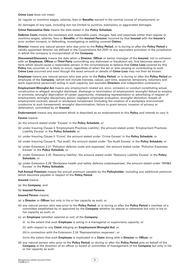#### **Crime Loss** does not mean

(a) regular or overtime wages, salaries, fees or **Benefits** earned in the normal course of employment; or

(b) damages of any type, including but not limited to punitive, exemplary or aggravated damages.

**Crime Retroactive Date** means the date stated in the **Policy Schedule**.

**Defence Costs** means the necessary and reasonable costs, charges, fees and expenses (other than regular or overtime wages, salaries, fees or **Benefits** of the **Insured Persons**) incurred by that **Insured** with the **Insurer's**  prior written consent, in defending, investigating or settling covered **Claims**.

**Director** means any natural person who was prior to the **Policy Period**, or is during or after the **Policy Period** a validly appointed director (as defined in the Corporations Act 2001 or any equivalent provision in the jurisdiction in which the company is incorporated) of the **Company**.

**Discovered**/**Discovery** means the date when a **Director**, **Officer** or senior manager of the **Insured**, not in collusion with an **Employee**, **Officer** or **Third Party** committing any dishonest or fraudulent act, first becomes aware of facts which would cause a reasonable person in the circumstances to believe that **Crime Loss** covered by this Policy has occurred, or is likely to occur, regardless of when the act or acts causing or contributing to such **Crime Loss** occurred and even though the exact amount or details of **Crime Loss** may not then be known.

**Employee** means any natural person who was prior to the **Policy Period**, or is during or after the **Policy Period** an employee of the **Company**, (which will include trainees, casual, part time, seasonal, temporary, voluntary and work experience personnel) acting in such capacity, but excludes **Directors** and independent contractors.

**Employment Wrongful Act** means any employment related act, error, omission or conduct constituting actual, constructive or alleged: wrongful dismissal, discharge or termination of employment; wrongful failure to employ or promote; wrongful deprivation of career opportunity; misleading representation or advertising in respect of employment; wrongful disciplinary action; negligent employee evaluation; wrongful demotion; breach of employment contract; sexual or workplace harassment (including the creation of a workplace environment conducive to such harassment); wrongful discrimination; failure to grant tenure; invasion of privacy or defamation, committed by an **Insured**.

**Endorsement** means any document which is described as an endorsement to this **Policy** and intends to vary it.

#### **Excess** means:

- (a) the amount stated under 'Excess' in the **Policy Schedule**; or
- (b) under Insuring Clause 4 'Employment Practices Liability', the amount stated under 'Employment Practices Liability Excess' in the **Policy Schedule**; or
- (c) under Insuring Clause 5 'Crime', the amount stated under 'Crime Excess' in the **Policy Schedule**; or
- (d) under Insuring Clause 6, 'Tax audit', the amount stated under 'Tax Audit Excess' in the **Policy Schedule**; or
- (e) under Extension 2.21 'Pollution defence costs and expenses', the amount stated under 'Pollution Expenses Excess' in the **Policy Schedule**; or
- (f) under Extension 2.25 'Statutory liability', the amount stated under 'Statutory Liability Excess' in the **Policy Schedule**; or
- (g) under Extension 2.28 'Workplace health and safety defence costs/expenses', the amount stated under 'WH&S Excess' in the **Policy Schedule**.

**Full Annual Premium** means the annual premium payable by the **Policyholder**, including any additional premium which becomes payable in respect of the **Policy Period**.

**Insured** means:

(a) the **Company**; and

(b) **Insured Persons**.

- **Insured Person** means:
- (a) a **Director** or **Officer** but only in his or her capacity as such; or
- (b) any natural person who was prior to the **Policy Period**, or is during or after the **Policy Period** a member of a committee established by or approved by the **Company** whether by statute or otherwise but only in his or her capacity as such; or
- (c) an **Employee** (whether salaried or not) of the **Company**:
	- (i) to the extent that such **Employee** is acting in a managerial or supervisory capacity; or
	- (ii) with respect to any **Claim** alleging an **Employment Wrongful Act**; or

(iii) in connection with the Extension 2.24 'Representation expenses'; or

(iv)to the extent that such **Employee** is implicated in a **Claim** along with a **Director** or **Officer**; or

(d) any natural person who prior to the **Policy Period**, or during or after the **Policy Period** acts on behalf of the **Company** at the direction of an officer or board or committee of management of the **Company** but only in his or her capacity as such.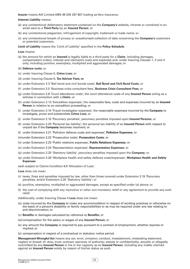**Insurer** means AAI Limited ABN 48 005 297 807 trading as Vero Insurance.

# **Internet Liability** means:

- (a) any unintentional defamatory statement contained on the **Company's** website, intranet or contained in an email sent to a **Third Party** by an **Insured Person**; or
- (b) any unintentional plagiarism, infringement of copyright, trademark or trade name; or
- (c) any unintentional breach of privacy or unauthorised collection of data concerning the **Company's** customers or potential customers.

#### **Limit of Liability** means the 'Limit of Liability' specified in the **Policy Schedule**.

#### **Loss** means:

- (a) the amount for which an **Insured** is legally liable to a third party for a **Claim**, including damages, compensation orders, interest and claimant's costs and expenses and, under Insuring Clauses 1, 2 and 4 only, including punitive, exemplary, multiplied and aggravated damages; or
- (b) **Defence costs**; or
- (c) under Insuring Clause 5, **Crime Loss**; or
- (d) under Insuring Clause 6, **Tax Adviser Fees; or**
- (e) under Extension 2.3 'Bail bond and civil bonds costs', **Bail Bond and Civil Bond Costs**; or
- (f) under Extension 2.5 'Business crisis consultant fees', **Business Crisis Consultant Fees**; or
- (g) under Extension 2.8 'Court attendance costs', the court attendance costs of any **Insured Person** acting as a witness in connection with a **Claim**; or
- (h) under Extension 2.13 'Extradition expenses', the reasonable fees, costs and expenses incurred by an **Insured Person** in relation to an extradition proceeding; or
- (i) under Extension 2.14 'Fraud investigator expenses', the reasonable expenses incurred by the **Company** to investigate, prove and substantiate **Crime Loss**; or
- (j) under Extension 2.19 'Pecuniary penalties', pecuniary penalties imposed upon **Insured Persons**; or
- (k) under Extension 2.20 'Personal tax liability', the personal tax liability of an **Insured Person** with respect to unpaid tax if the **Company** becomes insolvent; or
- (l) under Extension 2.21 'Pollution defence costs and expenses', **Pollution Expenses**; or
- (m)under Extension 2.22 'Prosecution costs', **Prosecution Costs**; or
- (n) under Extension 2.23 'Public relations expenses', **Public Relations Expenses**; or
- (o) under Extension 2.24 'Representation expenses', **Representation Expenses**; or
- (p) under Extension 2.25 'Statutory liability', pecuniary penalties imposed upon the **Company**; or
- (q) under Extension 2.28 'Workplace health and safety defence costs/expenses', **Workplace Health and Safety Expenses**

each subject to Claims Condition 8.6 'Allocation of Loss'.

**Loss** does not mean

- (r) taxes, fines and penalties imposed by law, other than those covered under Extension 2.19 'Pecuniary penalties, and/or Extension 2.25 'Statutory liability'; or
- (s) punitive, exemplary, multiplied or aggravated damages, except as specified under (a) above; or
- (t) the cost of complying with any injunctive or other non-monetary relief or any agreement to provide any such relief.

Additionally, under Insuring Clause 4 **Loss** does not mean:

- (u) costs incurred by the **Company** to make any accommodation in respect of working practices or otherwise on the basis of a person's disability or family responsibilities or as may be required under any law relating to anti-discrimination; or
- (v) **Benefits** or damages calculated by reference to **Benefits**; or
- (w) compensation for the salary or wages of any **Insured Person**; or
- (x) any amount the **Company** is required to pay pursuant to a contract of employment, whether express or implied; or
- (y) compensation in respect of a contractual or statutory notice period.

**Management Wrongful Act** means any act, error, omission, conduct, misstatement, misleading statement, neglect or breach of: duty; trust; contract; warranty of authority; statute or confidentiality, actually or allegedly committed by any **Insured Person** in his or her capacity as an **Insured Person**, including any matter claimed against an **Insured Person** solely by reason of his/her status as such.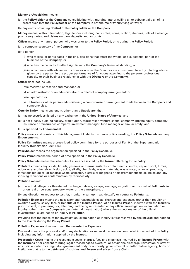#### **Merger or Acquisition** means:

- (a) the **Policyholder** or the **Company** consolidating with, merging into or selling all or substantially all of its assets such that the **Policyholder** or the **Company** is not the majority surviving entity; or
- (b) any entity obtaining **Control** of the **Policyholder** or the **Company**.

**Money** means, without limitation, legal tender including bank notes, coins, bullion, cheques, bills of exchange, promissory notes, and claims on bank deposits and accounts.

**Officer** means any natural person who was prior to the **Policy Period**, or is during the **Policy Period**:

- (a) a company secretary of the **Company**; or
- (b) a person:
	- (i) who makes, or participates in making, decisions that affect the whole, or a substantial part of the business of the **Company**; or
	- (ii) who has the capacity to affect significantly the **Company's** financial standing; or
	- (iii) in accordance with whose instructions or wishes the **Directors** are accustomed to act (excluding advice given by the person in the proper performance of functions attaching to the person's professional capacity or their business relationship with the **Directors** or the **Company**).

#### **Officer** does not include:

- (iv)a receiver, or receiver and manager; or
- (v) an administrator or an administrator of a deed of company arrangement; or
- (vi) a liquidator; or
- (vii) a trustee or other person administering a compromise or arrangement made between the **Company** and someone else.
- **Outside Entity** means any entity, other than a **Subsidiary**, that:
- (a) has no securities listed on any exchange in the **United States of America**; and
- (b) is not a bank, building society, credit union, stockbroker, venture capital company, private equity company, insurance or reinsurance company, investment manager, fund manager or similar entity; and
- (c) is specified by **Endorsement**.

**Policy** means and consists of this Management Liability Insurance policy wording, the **Policy Schedule** and any **Endorsements.** 

**Policy Committee** means a prescribed policy committee for the purposes of Part 9 of the Superannuation Industry (Supervision) Act 1993.

**Policyholder** means the organisation specified in the **Policy Schedule**.

**Policy Period** means the period of time specified in the **Policy Schedule**.

**Policy Schedule** means the schedule of insurance issued by the **Insurer** attaching to the **Policy**.

**Pollutants** means any solids, liquids, gaseous or thermal irritants, contaminants, smoke, vapour, soot, fumes, odour or any other air emission, acids, alkalis, chemicals, waste materials, waste water, oil or oil products, infectious biological or medical waste, asbestos, electric or magnetic or electromagnetic fields, noise and any ionising radiations or contamination by radioactivity.

#### **Pollution** means:

- (a) the actual, alleged or threatened discharge, release, escape, seepage, migration or disposal of **Pollutants** into or on real or personal property, water or the atmosphere; or
- (b) any direction or request to test for, monitor, clean up, treat, detoxify or neutralise **Pollutants**.

**Pollution Expenses** means the necessary and reasonable costs, charges and expenses (other than regular or overtime wages, salary, fees or **Benefits** of the **Insured Person**) of an **Insured Person**, incurred with the **Insurer's**  prior consent, in preparing for, attending and being represented at any official investigation, examination or inquiry (other than the **Company's** own internal investigation) where the subject matter of the official investigation, examination or inquiry is **Pollution**.

Provided that the notice of the investigation, examination or inquiry is first received by the **Insured** and notified to the **Insurer** during the **Policy Period**.

#### **Pollution Expenses** does not mean **Representation Expenses**.

**Proposal** means the proposal and/or any declaration or renewal declaration completed in respect of this **Policy**, including any information supplied by the **Insured**.

**Prosecution Costs** means the reasonable costs, charges, fees and expenses incurred by an **Insured Person** with the **Insurer's** prior consent to bring legal proceedings to overturn, or obtain the discharge, revocation or stay of any judicial order by a regulator, government body or authority, governmental or authoritative agency, body or institution that is to the detriment of such **Insured Person** and arises from a **Claim**.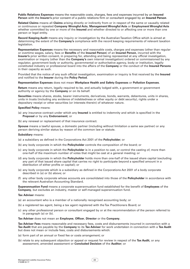**Public Relations Expenses** means the reasonable costs, charges, fees and expenses incurred by an **Insured Person** with the **Insurer's** prior consent of a public relations firm or consultant engaged by an **Insured Person**.

**Related Claims** means all **Claims** arising directly or indirectly from or in respect of the same or causally related or continuous or repeated **Company Wrongful Acts**, **Management Wrongful Acts** or **Employment Wrongful Acts**  whether committed by one or more of the **Insured** and whether directed to or affecting one or more than one person or legal entity.

**Record Keeping Audit** means any inquiry or investigation by the Australian Taxation Office which is aimed at determining the extent of the **Company's** compliance with the record keeping requirements of relevant taxation legislation.

**Representation Expenses** means the necessary and reasonable costs, charges and expenses (other than regular or overtime wages, salary, fees or **Benefits** of the **Insured Person**) of an **Insured Person**, incurred with the **Insurer's** prior written consent, in preparing for, attending and being represented at any official investigation, examination or inquiry (other than the **Company's** own internal investigation) ordered or commissioned by any regulator, government body or authority, governmental or authoritative agency, body or institution, legally constituted industry or professional board into the affairs of the **Company** or the conduct of the **Insured Persons**  in their capacity as such.

Provided that the notice of any such official investigation, examination or inquiry is first received by the **Insured**  and notified to the **Insurer** during the **Policy Period**.

#### **Representation Expenses** does not mean **Workplace Health and Safety Expenses** or **Pollution Expenses**.

**Return** means any return, legally required to be, and actually lodged with, a government or government authority or agency by the **Company** or on its behalf.

**Securities** means shares, stocks, bearer instruments, derivatives, bonds, warrants, debentures, units in shares, units in trusts (including any evidence of indebtedness or other equity or debt security), rights under a depositary receipt or other securities (or interests therein) of whatever nature.

#### **Specified Policy** means:

- (a) any insurance contract under which any **Insured** is entitled to indemnity and which is specified in the **Proposal** or by any **Endorsement**; or
- (b) any renewal or replacement of that insurance contract.

**Spouse** means a lawful spouse, a domestic partner (including without limitation a same sex partner) or any person deriving similar status by reason of the common law or statute.

#### **Subsidiary** means:

- (a) a subsidiary as defined in the Corporations Act 2001 of the **Policyholder**; or
- (b) any body corporate in which the **Policyholder** controls the composition of the board; or
- (c) any body corporate in which the **Policyholder** is in a position to cast, or control the casting of, more than one-half of the maximum number of votes that might be cast at a general meeting; or
- (d) any body corporate in which the **Policyholder** holds more than one-half of the issued share capital (excluding any part of that issued share capital that carries no right to participate beyond a specified amount in a distribution of either profits or capital); or
- (e) any body corporate which is a subsidiary as defined in the Corporations Act 2001 of a body corporate described in (a) or (b) above; or
- (f) any other body corporate whose accounts are consolidated into those of the **Policyholder** in accordance with the relevant Australian Accounting Standard.

**Superannuation Fund** means a corporate superannuation fund established for the benefit of **Employees** of the **Company**, but excludes an industry, master or self-managed superannuation fund.

# **Tax Adviser** means:

- (a) an accountant who is a member of a nationally recognised accounting body; or
- (b) a registered tax agent, being a tax agent registered with the Tax Practitioners Board; or
- (c) any other professional person or consultant engaged by or at the recommendation of the person referred to in paragraph (a) or (b).

#### **Tax Adviser** does not mean an **Employee**, **Officer**, **Director** or the **Company**.

**Tax Adviser Fees** means reasonable and necessary fees, costs and disbursements incurred in connection with a **Tax Audit** that are payable by the **Company** to its **Tax Adviser** for work undertaken in connection with a **Tax Audit**  but does not mean or include fees, costs and disbursements which:

- (a) form part of an annual or fixed fee or costs arrangement; or
- (b) relate to any subsequent objection or appeal or request for review in respect of the **Tax Audit**, or any assessment, amended assessment or **Concluded Decision** of the **Auditor**; or

 $\overline{22}$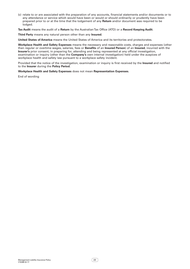(c) relate to or are associated with the preparation of any accounts, financial statements and/or documents or to any attendance or service which would have been or would or should ordinarily or prudently have been prepared prior to or at the time that the lodgement of any **Return** and/or document was required to be lodged.

**Tax Audit** means the audit of a **Return** by the Australian Tax Office (ATO) or a **Record Keeping Audit**.

**Third Party** means any natural person other than any **Insured**.

**United States of America** means the United States of America and its territories and protectorates.

**Workplace Health and Safety Expenses** means the necessary and reasonable costs, charges and expenses (other than regular or overtime wages, salaries, fees or **Benefits** of an **Insured Person**) of an **Insured**, incurred with the **Insurer's** prior consent, in preparing for, attending and being represented at any official investigation, examination or inquiry (other than the **Company's** own internal investigation) held under the auspices of workplace health and safety law pursuant to a workplace safety incident.

Provided that the notice of the investigation, examination or inquiry is first received by the **Insured** and notified to the **Insurer** during the **Policy Period**.

**Workplace Health and Safety Expenses** does not mean **Representation Expenses**.

End of wording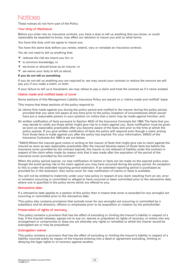# Notices

These notices do not form part of the Policy.

# Your duty of disclosure

Before you enter into an insurance contract, you have a duty to tell us anything that you know, or could reasonably be expected to know, may affect our decision to insure you and on what terms.

You have this duty until we agree to insure you.

You have the same duty before you renew, extend, vary or reinstate an insurance contract.

You do not need to tell us anything that:

- ▼ reduces the risk we insure you for; or
- ▼ is common knowledge; or
- ▼ we know or should know as an insurer; or
- ▼ we waive your duty to tell us about.

# **If you do not tell us something**

If you do not tell us anything you are required to, we may cancel your contract or reduce the amount we will pay you if you make a claim, or both.

If your failure to tell us is fraudulent, we may refuse to pay a claim and treat the contract as if it never existed.

# Claims made and notified basis of cover

Some sections of this Management Liability Insurance Policy are issued on a 'claims made and notified' basis.

This means that these sections of the policy respond to:

- (a) claims first made against you during the policy period and notified to the insurer during the policy period, provided that you were not aware at any time prior to the policy inception of circumstances which would have put a reasonable person in your position on notice that a claim may be made against him/her; and:
- (b) written notification of facts pursuant to Section 40(3) of the Insurance Contracts Act 1984. The facts that you may decide to notify are those which might give rise to a claim against you. Such notification must be given as soon as reasonably practicable after you become aware of the facts and prior to the time at which the policy expires. If you give written notification of facts the policy will respond even though a claim arising from those facts is made against you after the policy has expired. For your information, S40(3) of the Insurance Contracts Act 1984 is set out below;

"S40(3) Where the insured gave notice in writing to the insurer of facts that might give rise to claim against the insured as soon as was reasonably practicable after the insured became aware of those facts but before the insurance cover provided by the contract expired, the insurer is not relieved of liability under the contract in respect of the claim when made by reason only that it was made after the expiration of the period of the insurance cover provided by the contract."

When the policy period expires, no new notification of claims or facts can be made on the expired policy even though the event giving rise to the claim against you may have occurred during the policy period. An exception to this is under the extended reporting period extension. If an extended reporting period is purchased as provided for in the extension, then some cover for new notification of claims or facts is available.

You will not be entitled to indemnity under your new policy in respect of any claim resulting from an act, error or omission occurring or committed or alleged to have occurred or been committed prior to the retroactive date, where one is specified in the policy terms which are offered to you.

# Retroactive date

If a retroactive date applies to a section of this policy then it means that cover is excluded for any wrongful act occurring or committed prior to the retroactive date.

This policy also contains provisions that exclude cover for any wrongful act occurring or committed by a subsidiary and its directors, officers or employees prior to its acquisition or creation by the policyholder.

# Preservation of rights of recovery

This policy contains a provision that has the effect of excluding or limiting the Insurer's liability in respect of a loss, if the insured releases, agrees not to sue on, waives or prejudices its rights of recovery, or enters into any arrangement or compromise or does any act whereby any rights or remedies to which the insurer would be subrogated are or may be prejudiced.

# Subrogation waiver

This policy contains a provision that has the effect of excluding or limiting the Insurer's liability in respect of a liability incurred solely by reason of the Insured entering into a deed or agreement excluding, limiting or delaying the legal rights or of recovery against another.

 $\overline{24}$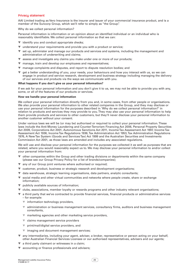# Privacy statement

AAI Limited trading as Vero Insurance is the insurer and issuer of your commercial insurance product, and is a member of the Suncorp Group, which we'll refer to simply as "the Group".

Why do we collect personal information?

Personal information is information or an opinion about an identified individual or an individual who is reasonably identifiable. We collect personal information so that we can:

- ▼ identify you and conduct appropriate checks;
- ▼ understand your requirements and provide you with a product or service;
- set up, administer and manage our products and services and systems, including the management and administration of underwriting and claims;
- ▼ assess and investigate any claims you make under one or more of our products;
- ▼ manage, train and develop our employees and representatives;
- ▼ manage complaints and disputes, and report to dispute resolution bodies; and
- ▼ get a better understanding of you, your needs, your behaviours and how you interact with us, so we can engage in product and service research, development and business strategy including managing the delivery of our services and products via the ways we communicate with you.

# **What happens if you don't give us your personal information?**

If we ask for your personal information and you don't give it to us, we may not be able to provide you with any, some, or all of the features of our products or services.

#### **How we handle your personal information**

We collect your personal information directly from you and, in some cases, from other people or organisations. We also provide your personal information to other related companies in the Group, and they may disclose or use your personal information for the purposes described in 'Why do we collect personal information?' in relation to products and services they may provide to you. They may also use your personal information to help them provide products and services to other customers, but they'll never disclose your personal information to another customer without your consent.

Under various laws we will be (or may be) authorised or required to collect your personal information. These laws include the Anti-Money Laundering and Counter-Terrorism Financing Act 2006, Personal Property Securities Act 2009, Corporations Act 2001, Autonomous Sanctions Act 2011, Income Tax Assessment Act 1997, Income Tax Assessment Act 1936, Income Tax Regulations 1936, Tax Administration Act 1953, Tax Administration Regulations 1976, A New Tax System (Goods and Services Tax) Act 1999 and the Australian Securities and Investments Commission Act 2001, as those laws are amended and includes any associated regulations.

We will use and disclose your personal information for the purposes we collected it as well as purposes that are related, where you would reasonably expect us to. We may disclose your personal information to and/or collect your personal information from:

- other companies within the Group and other trading divisions or departments within the same company (please see our Group Privacy Policy for a list of brands/companies);
- ▼ any of our Group joint ventures where authorised or required;
- ▼ customer, product, business or strategic research and development organisations;
- ▼ data warehouse, strategic learning organisations, data partners, analytic consultants;
- social media and other virtual communities and networks where people create, share or exchange information;
- ▼ publicly available sources of information;
- ▼ clubs, associations, member loyalty or rewards programs and other industry relevant organisations;
- ▼ a third party that we've contracted to provide financial services, financial products or administrative services – for example:
	- ▼ information technology providers,
	- ▼ administration or business management services, consultancy firms, auditors and business management consultants,
	- ▼ marketing agencies and other marketing service providers,
	- ▼ claims management service providers
	- ▼ print/mail/digital service providers, and
	- ▼ imaging and document management services;
- ▼ any intermediaries, including your agent, adviser, a broker, representative or person acting on your behalf, other Australian Financial Services Licensee or our authorised representatives, advisers and our agents;
- ▼ a third party claimant or witnesses in a claim;
- ▼ accounting or finance professionals and advisers;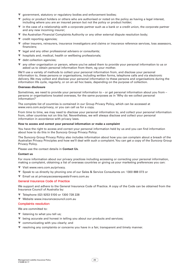- ▼ government, statutory or regulatory bodies and enforcement bodies;
- ▼ policy or product holders or others who are authorised or noted on the policy as having a legal interest, including where you are an insured person but not the policy or product holder;
- ▼ in the case of a relationship with a corporate partner such as a bank or a credit union, the corporate partner and any new incoming insurer;
- ▼ the Australian Financial Complaints Authority or any other external dispute resolution body;
- $\blacktriangledown$  credit reporting agencies;
- ▼ other insurers, reinsurers, insurance investigators and claims or insurance reference services, loss assessors, financiers;
- ▼ legal and any other professional advisers or consultants;
- ▼ hospitals and, medical, health or wellbeing professionals;
- ▼ debt collection agencies;
- ▼ any other organisation or person, where you've asked them to provide your personal information to us or asked us to obtain personal information from them, eg your mother.

We'll use a variety of methods to collect your personal information from, and disclose your personal information to, these persons or organisations, including written forms, telephone calls and via electronic delivery. We may collect and disclose your personal information to these persons and organisations during the information life cycle, regularly, or on an ad hoc basis, depending on the purpose of collection.

# **Overseas disclosure**

Sometimes, we need to provide your personal information to – or get personal information about you from – persons or organisations located overseas, for the same purposes as in 'Why do we collect personal information?'

The complete list of countries is contained in our Group Privacy Policy, which can be accessed at www.vero.com.au/privacy, or you can call us for a copy.

From time to time, we may need to disclose your personal information to, and collect your personal information from, other countries not on this list. Nevertheless, we will always disclose and collect your personal information in accordance with privacy laws.

# **How to access and correct your personal information or make a complaint**

You have the right to access and correct your personal information held by us and you can find information about how to do this in the Suncorp Group Privacy Policy.

The Suncorp Group Privacy Policy also includes information about how you can complain about a breach of the Australian Privacy Principles and how we'll deal with such a complaint. You can get a copy of the Suncorp Group Privacy Policy.

Please use the contact details in **Contact Us**.

# **Contact us**

For more information about our privacy practices including accessing or correcting your personal information, making a complaint, obtaining a list of overseas countries or giving us your marketing preferences you can:

- ▼ Visit www.vero.com.au/privacy.
- ▼ Speak to us directly by phoning one of our Sales & Service Consultants on: 1300 888 073 or
- ▼ Email us at privacyaccessrequests@vero.com.au

# General Insurance Code of Practice

We support and adhere to the General Insurance Code of Practice. A copy of the Code can be obtained from the Insurance Council of Australia by:

- ▼ Telephone (02) 9253 5100 or 1300 728 228
- ▼ Website www.insurancecouncil.com.au

# Complaints resolution

We are committed to:

- $\blacktriangledown$  listening to what you tell us;
- ▼ being accurate and honest in telling you about our products and services;
- ▼ communicating with you clearly; and
- ▼ resolving any complaints or concerns you have in a fair, transparent and timely manner.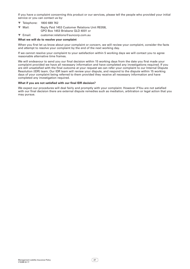If you have a complaint concerning this product or our services, please tell the people who provided your initial service or you can contact us by:

- ▼ Telephone: 1800 689 762
- ▼ Mail: Reply Paid 1453 Customer Relations Unit RE058, GPO Box 1453 Brisbane QLD 4001 or
- ▼ Email: customer.relations@suncorp.com.au

#### **What we will do to resolve your complaint**

When you first let us know about your complaint or concern, we will review your complaint, consider the facts and attempt to resolve your complaint by the end of the next working day.

If we cannot resolve your complaint to your satisfaction within 5 working days we will contact you to agree reasonable alternative time frames.

We will endeavour to send you our final decision within 15 working days from the date you first made your complaint provided we have all necessary information and have completed any investigations required. If you are still unsatisfied with the final outcome at your request we can refer your complaint to our Internal Dispute Resolution (IDR) team. Our IDR team will review your dispute, and respond to the dispute within 15 working days of your complaint being referred to them provided they receive all necessary information and have completed any investigation required.

# **What if you are not satisfied with our final IDR decision?**

We expect our procedures will deal fairly and promptly with your complaint. However if You are not satisfied with our final decision there are external dispute remedies such as mediation, arbitration or legal action that you may pursue.